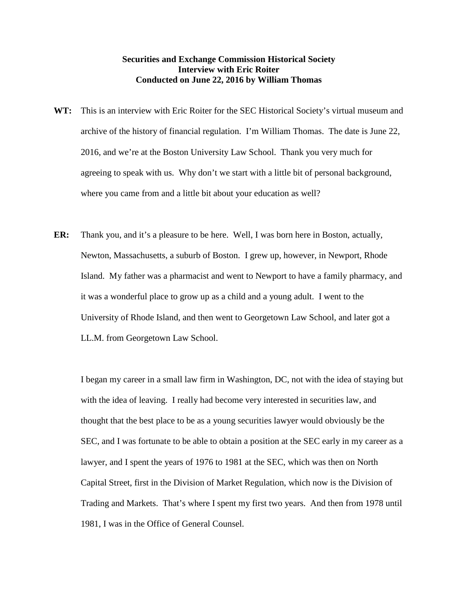## **Securities and Exchange Commission Historical Society Interview with Eric Roiter Conducted on June 22, 2016 by William Thomas**

- **WT:** This is an interview with Eric Roiter for the SEC Historical Society's virtual museum and archive of the history of financial regulation. I'm William Thomas. The date is June 22, 2016, and we're at the Boston University Law School. Thank you very much for agreeing to speak with us. Why don't we start with a little bit of personal background, where you came from and a little bit about your education as well?
- **ER:** Thank you, and it's a pleasure to be here. Well, I was born here in Boston, actually, Newton, Massachusetts, a suburb of Boston. I grew up, however, in Newport, Rhode Island. My father was a pharmacist and went to Newport to have a family pharmacy, and it was a wonderful place to grow up as a child and a young adult. I went to the University of Rhode Island, and then went to Georgetown Law School, and later got a LL.M. from Georgetown Law School.

I began my career in a small law firm in Washington, DC, not with the idea of staying but with the idea of leaving. I really had become very interested in securities law, and thought that the best place to be as a young securities lawyer would obviously be the SEC, and I was fortunate to be able to obtain a position at the SEC early in my career as a lawyer, and I spent the years of 1976 to 1981 at the SEC, which was then on North Capital Street, first in the Division of Market Regulation, which now is the Division of Trading and Markets. That's where I spent my first two years. And then from 1978 until 1981, I was in the Office of General Counsel.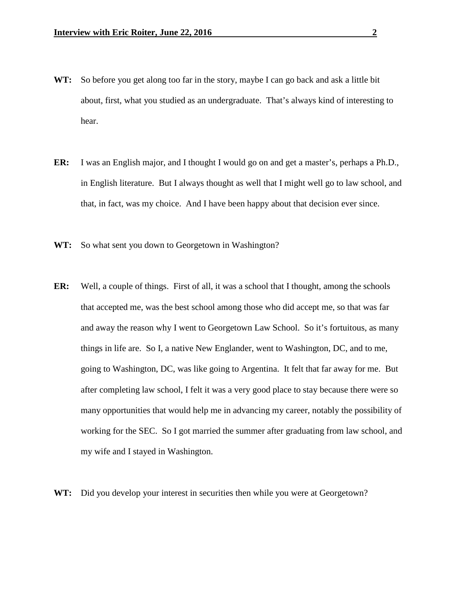- **WT:** So before you get along too far in the story, maybe I can go back and ask a little bit about, first, what you studied as an undergraduate. That's always kind of interesting to hear.
- **ER:** I was an English major, and I thought I would go on and get a master's, perhaps a Ph.D., in English literature. But I always thought as well that I might well go to law school, and that, in fact, was my choice. And I have been happy about that decision ever since.
- **WT:** So what sent you down to Georgetown in Washington?
- **ER:** Well, a couple of things. First of all, it was a school that I thought, among the schools that accepted me, was the best school among those who did accept me, so that was far and away the reason why I went to Georgetown Law School. So it's fortuitous, as many things in life are. So I, a native New Englander, went to Washington, DC, and to me, going to Washington, DC, was like going to Argentina. It felt that far away for me. But after completing law school, I felt it was a very good place to stay because there were so many opportunities that would help me in advancing my career, notably the possibility of working for the SEC. So I got married the summer after graduating from law school, and my wife and I stayed in Washington.
- **WT:** Did you develop your interest in securities then while you were at Georgetown?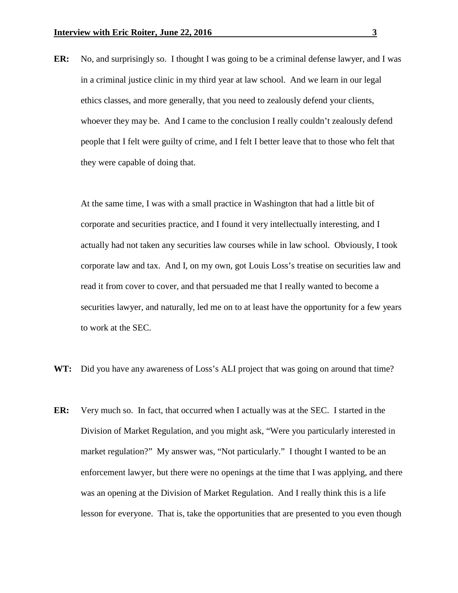**ER:** No, and surprisingly so. I thought I was going to be a criminal defense lawyer, and I was in a criminal justice clinic in my third year at law school. And we learn in our legal ethics classes, and more generally, that you need to zealously defend your clients, whoever they may be. And I came to the conclusion I really couldn't zealously defend people that I felt were guilty of crime, and I felt I better leave that to those who felt that they were capable of doing that.

At the same time, I was with a small practice in Washington that had a little bit of corporate and securities practice, and I found it very intellectually interesting, and I actually had not taken any securities law courses while in law school. Obviously, I took corporate law and tax. And I, on my own, got Louis Loss's treatise on securities law and read it from cover to cover, and that persuaded me that I really wanted to become a securities lawyer, and naturally, led me on to at least have the opportunity for a few years to work at the SEC.

- **WT:** Did you have any awareness of Loss's ALI project that was going on around that time?
- **ER:** Very much so. In fact, that occurred when I actually was at the SEC. I started in the Division of Market Regulation, and you might ask, "Were you particularly interested in market regulation?" My answer was, "Not particularly." I thought I wanted to be an enforcement lawyer, but there were no openings at the time that I was applying, and there was an opening at the Division of Market Regulation. And I really think this is a life lesson for everyone. That is, take the opportunities that are presented to you even though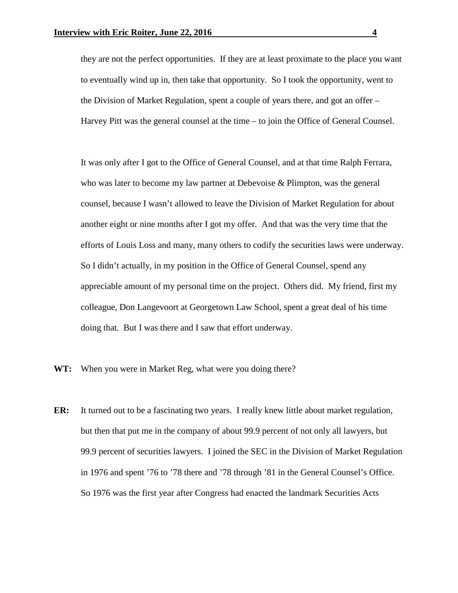they are not the perfect opportunities. If they are at least proximate to the place you want to eventually wind up in, then take that opportunity. So I took the opportunity, went to the Division of Market Regulation, spent a couple of years there, and got an offer – Harvey Pitt was the general counsel at the time – to join the Office of General Counsel.

It was only after I got to the Office of General Counsel, and at that time Ralph Ferrara, who was later to become my law partner at Debevoise & Plimpton, was the general counsel, because I wasn't allowed to leave the Division of Market Regulation for about another eight or nine months after I got my offer. And that was the very time that the efforts of Louis Loss and many, many others to codify the securities laws were underway. So I didn't actually, in my position in the Office of General Counsel, spend any appreciable amount of my personal time on the project. Others did. My friend, first my colleague, Don Langevoort at Georgetown Law School, spent a great deal of his time doing that. But I was there and I saw that effort underway.

- **WT:** When you were in Market Reg, what were you doing there?
- **ER:** It turned out to be a fascinating two years. I really knew little about market regulation, but then that put me in the company of about 99.9 percent of not only all lawyers, but 99.9 percent of securities lawyers. I joined the SEC in the Division of Market Regulation in 1976 and spent '76 to '78 there and '78 through '81 in the General Counsel's Office. So 1976 was the first year after Congress had enacted the landmark Securities Acts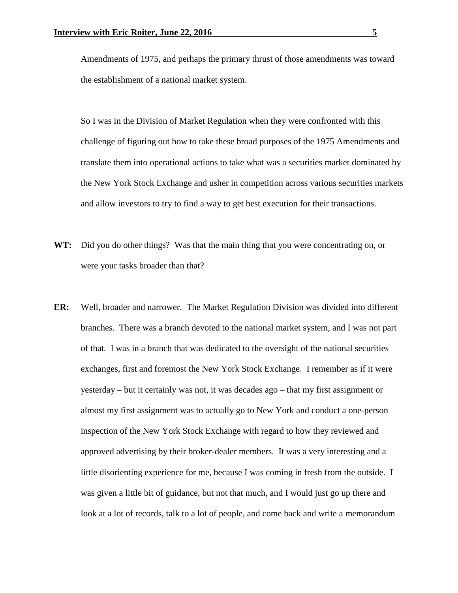Amendments of 1975, and perhaps the primary thrust of those amendments was toward the establishment of a national market system.

So I was in the Division of Market Regulation when they were confronted with this challenge of figuring out how to take these broad purposes of the 1975 Amendments and translate them into operational actions to take what was a securities market dominated by the New York Stock Exchange and usher in competition across various securities markets and allow investors to try to find a way to get best execution for their transactions.

- **WT:** Did you do other things? Was that the main thing that you were concentrating on, or were your tasks broader than that?
- **ER:** Well, broader and narrower. The Market Regulation Division was divided into different branches. There was a branch devoted to the national market system, and I was not part of that. I was in a branch that was dedicated to the oversight of the national securities exchanges, first and foremost the New York Stock Exchange. I remember as if it were yesterday – but it certainly was not, it was decades ago – that my first assignment or almost my first assignment was to actually go to New York and conduct a one-person inspection of the New York Stock Exchange with regard to how they reviewed and approved advertising by their broker-dealer members. It was a very interesting and a little disorienting experience for me, because I was coming in fresh from the outside. I was given a little bit of guidance, but not that much, and I would just go up there and look at a lot of records, talk to a lot of people, and come back and write a memorandum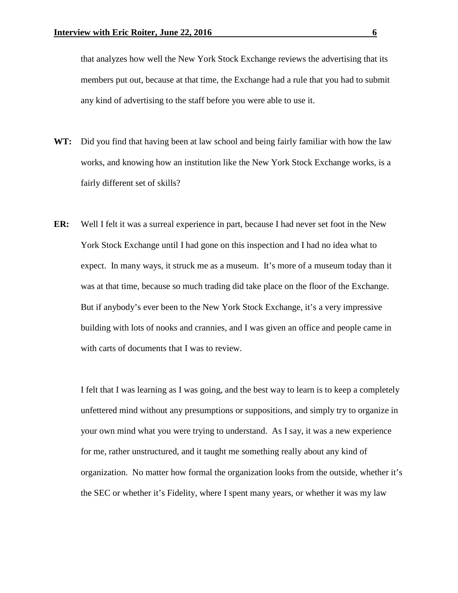that analyzes how well the New York Stock Exchange reviews the advertising that its members put out, because at that time, the Exchange had a rule that you had to submit any kind of advertising to the staff before you were able to use it.

- **WT:** Did you find that having been at law school and being fairly familiar with how the law works, and knowing how an institution like the New York Stock Exchange works, is a fairly different set of skills?
- **ER:** Well I felt it was a surreal experience in part, because I had never set foot in the New York Stock Exchange until I had gone on this inspection and I had no idea what to expect. In many ways, it struck me as a museum. It's more of a museum today than it was at that time, because so much trading did take place on the floor of the Exchange. But if anybody's ever been to the New York Stock Exchange, it's a very impressive building with lots of nooks and crannies, and I was given an office and people came in with carts of documents that I was to review.

I felt that I was learning as I was going, and the best way to learn is to keep a completely unfettered mind without any presumptions or suppositions, and simply try to organize in your own mind what you were trying to understand. As I say, it was a new experience for me, rather unstructured, and it taught me something really about any kind of organization. No matter how formal the organization looks from the outside, whether it's the SEC or whether it's Fidelity, where I spent many years, or whether it was my law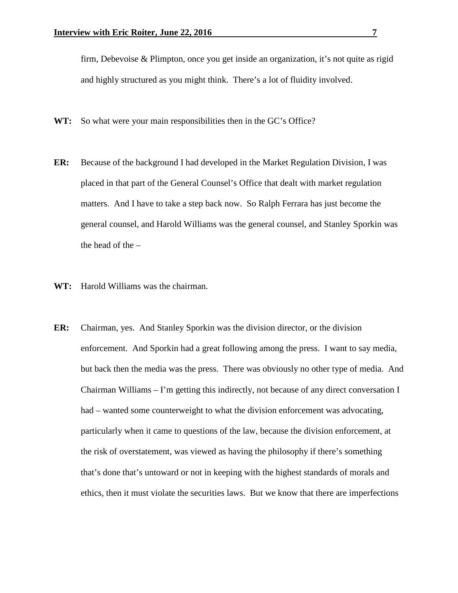firm, Debevoise & Plimpton, once you get inside an organization, it's not quite as rigid and highly structured as you might think. There's a lot of fluidity involved.

- **WT:** So what were your main responsibilities then in the GC's Office?
- **ER:** Because of the background I had developed in the Market Regulation Division, I was placed in that part of the General Counsel's Office that dealt with market regulation matters. And I have to take a step back now. So Ralph Ferrara has just become the general counsel, and Harold Williams was the general counsel, and Stanley Sporkin was the head of the –
- **WT:** Harold Williams was the chairman.
- **ER:** Chairman, yes. And Stanley Sporkin was the division director, or the division enforcement. And Sporkin had a great following among the press. I want to say media, but back then the media was the press. There was obviously no other type of media. And Chairman Williams – I'm getting this indirectly, not because of any direct conversation I had – wanted some counterweight to what the division enforcement was advocating, particularly when it came to questions of the law, because the division enforcement, at the risk of overstatement, was viewed as having the philosophy if there's something that's done that's untoward or not in keeping with the highest standards of morals and ethics, then it must violate the securities laws. But we know that there are imperfections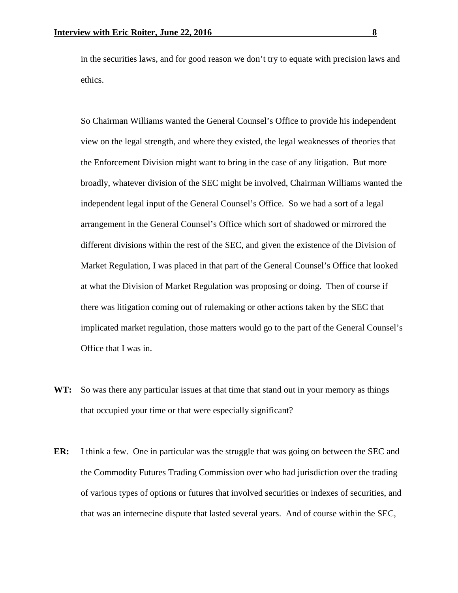in the securities laws, and for good reason we don't try to equate with precision laws and ethics.

So Chairman Williams wanted the General Counsel's Office to provide his independent view on the legal strength, and where they existed, the legal weaknesses of theories that the Enforcement Division might want to bring in the case of any litigation. But more broadly, whatever division of the SEC might be involved, Chairman Williams wanted the independent legal input of the General Counsel's Office. So we had a sort of a legal arrangement in the General Counsel's Office which sort of shadowed or mirrored the different divisions within the rest of the SEC, and given the existence of the Division of Market Regulation, I was placed in that part of the General Counsel's Office that looked at what the Division of Market Regulation was proposing or doing. Then of course if there was litigation coming out of rulemaking or other actions taken by the SEC that implicated market regulation, those matters would go to the part of the General Counsel's Office that I was in.

- **WT:** So was there any particular issues at that time that stand out in your memory as things that occupied your time or that were especially significant?
- **ER:** I think a few. One in particular was the struggle that was going on between the SEC and the Commodity Futures Trading Commission over who had jurisdiction over the trading of various types of options or futures that involved securities or indexes of securities, and that was an internecine dispute that lasted several years. And of course within the SEC,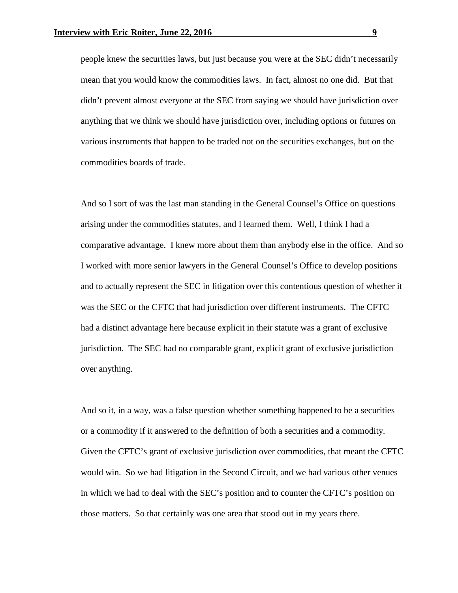people knew the securities laws, but just because you were at the SEC didn't necessarily mean that you would know the commodities laws. In fact, almost no one did. But that didn't prevent almost everyone at the SEC from saying we should have jurisdiction over anything that we think we should have jurisdiction over, including options or futures on various instruments that happen to be traded not on the securities exchanges, but on the commodities boards of trade.

And so I sort of was the last man standing in the General Counsel's Office on questions arising under the commodities statutes, and I learned them. Well, I think I had a comparative advantage. I knew more about them than anybody else in the office. And so I worked with more senior lawyers in the General Counsel's Office to develop positions and to actually represent the SEC in litigation over this contentious question of whether it was the SEC or the CFTC that had jurisdiction over different instruments. The CFTC had a distinct advantage here because explicit in their statute was a grant of exclusive jurisdiction. The SEC had no comparable grant, explicit grant of exclusive jurisdiction over anything.

And so it, in a way, was a false question whether something happened to be a securities or a commodity if it answered to the definition of both a securities and a commodity. Given the CFTC's grant of exclusive jurisdiction over commodities, that meant the CFTC would win. So we had litigation in the Second Circuit, and we had various other venues in which we had to deal with the SEC's position and to counter the CFTC's position on those matters. So that certainly was one area that stood out in my years there.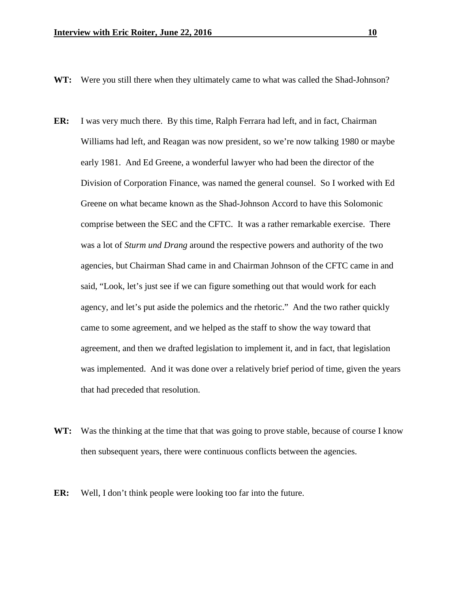- **WT:** Were you still there when they ultimately came to what was called the Shad-Johnson?
- **ER:** I was very much there. By this time, Ralph Ferrara had left, and in fact, Chairman Williams had left, and Reagan was now president, so we're now talking 1980 or maybe early 1981. And Ed Greene, a wonderful lawyer who had been the director of the Division of Corporation Finance, was named the general counsel. So I worked with Ed Greene on what became known as the Shad-Johnson Accord to have this Solomonic comprise between the SEC and the CFTC. It was a rather remarkable exercise. There was a lot of *Sturm und Drang* around the respective powers and authority of the two agencies, but Chairman Shad came in and Chairman Johnson of the CFTC came in and said, "Look, let's just see if we can figure something out that would work for each agency, and let's put aside the polemics and the rhetoric." And the two rather quickly came to some agreement, and we helped as the staff to show the way toward that agreement, and then we drafted legislation to implement it, and in fact, that legislation was implemented. And it was done over a relatively brief period of time, given the years that had preceded that resolution.
- **WT:** Was the thinking at the time that that was going to prove stable, because of course I know then subsequent years, there were continuous conflicts between the agencies.
- **ER:** Well, I don't think people were looking too far into the future.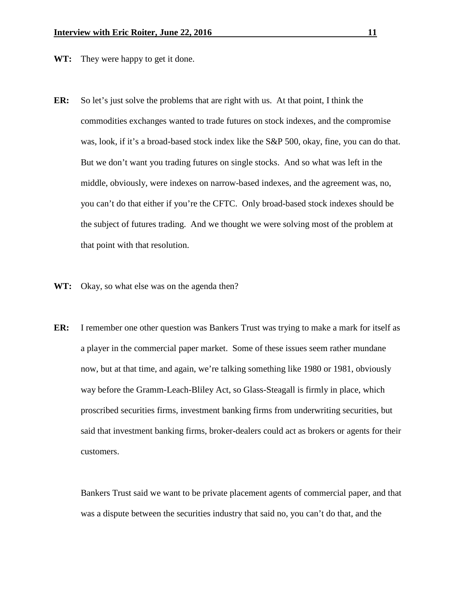**WT:** They were happy to get it done.

- **ER:** So let's just solve the problems that are right with us. At that point, I think the commodities exchanges wanted to trade futures on stock indexes, and the compromise was, look, if it's a broad-based stock index like the S&P 500, okay, fine, you can do that. But we don't want you trading futures on single stocks. And so what was left in the middle, obviously, were indexes on narrow-based indexes, and the agreement was, no, you can't do that either if you're the CFTC. Only broad-based stock indexes should be the subject of futures trading. And we thought we were solving most of the problem at that point with that resolution.
- **WT:** Okay, so what else was on the agenda then?
- **ER:** I remember one other question was Bankers Trust was trying to make a mark for itself as a player in the commercial paper market. Some of these issues seem rather mundane now, but at that time, and again, we're talking something like 1980 or 1981, obviously way before the Gramm-Leach-Bliley Act, so Glass-Steagall is firmly in place, which proscribed securities firms, investment banking firms from underwriting securities, but said that investment banking firms, broker-dealers could act as brokers or agents for their customers.

Bankers Trust said we want to be private placement agents of commercial paper, and that was a dispute between the securities industry that said no, you can't do that, and the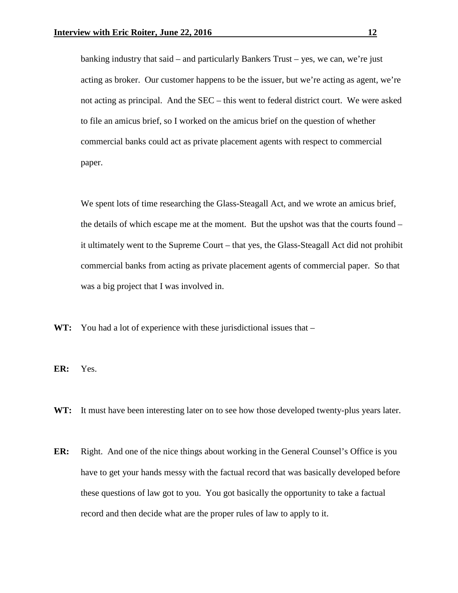banking industry that said – and particularly Bankers Trust – yes, we can, we're just acting as broker. Our customer happens to be the issuer, but we're acting as agent, we're not acting as principal. And the SEC – this went to federal district court. We were asked to file an amicus brief, so I worked on the amicus brief on the question of whether commercial banks could act as private placement agents with respect to commercial paper.

We spent lots of time researching the Glass-Steagall Act, and we wrote an amicus brief, the details of which escape me at the moment. But the upshot was that the courts found – it ultimately went to the Supreme Court – that yes, the Glass-Steagall Act did not prohibit commercial banks from acting as private placement agents of commercial paper. So that was a big project that I was involved in.

**WT:** You had a lot of experience with these jurisdictional issues that –

**ER:** Yes.

**WT:** It must have been interesting later on to see how those developed twenty-plus years later.

**ER:** Right. And one of the nice things about working in the General Counsel's Office is you have to get your hands messy with the factual record that was basically developed before these questions of law got to you. You got basically the opportunity to take a factual record and then decide what are the proper rules of law to apply to it.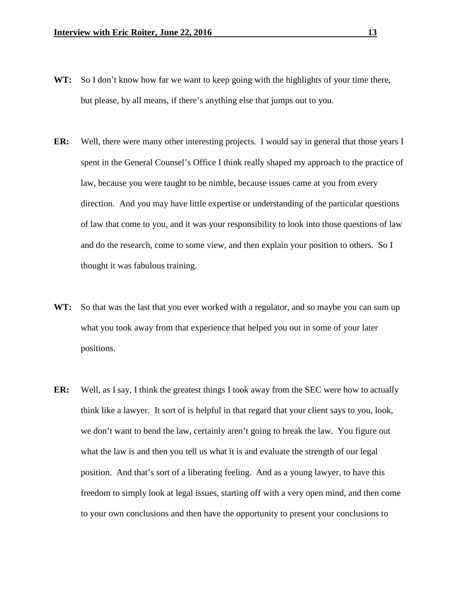- **WT:** So I don't know how far we want to keep going with the highlights of your time there, but please, by all means, if there's anything else that jumps out to you.
- **ER:** Well, there were many other interesting projects. I would say in general that those years I spent in the General Counsel's Office I think really shaped my approach to the practice of law, because you were taught to be nimble, because issues came at you from every direction. And you may have little expertise or understanding of the particular questions of law that come to you, and it was your responsibility to look into those questions of law and do the research, come to some view, and then explain your position to others. So I thought it was fabulous training.
- **WT:** So that was the last that you ever worked with a regulator, and so maybe you can sum up what you took away from that experience that helped you out in some of your later positions.
- **ER:** Well, as I say, I think the greatest things I took away from the SEC were how to actually think like a lawyer. It sort of is helpful in that regard that your client says to you, look, we don't want to bend the law, certainly aren't going to break the law. You figure out what the law is and then you tell us what it is and evaluate the strength of our legal position. And that's sort of a liberating feeling. And as a young lawyer, to have this freedom to simply look at legal issues, starting off with a very open mind, and then come to your own conclusions and then have the opportunity to present your conclusions to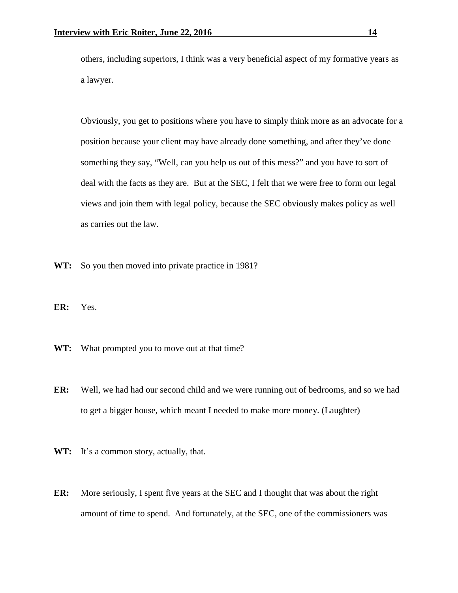others, including superiors, I think was a very beneficial aspect of my formative years as a lawyer.

Obviously, you get to positions where you have to simply think more as an advocate for a position because your client may have already done something, and after they've done something they say, "Well, can you help us out of this mess?" and you have to sort of deal with the facts as they are. But at the SEC, I felt that we were free to form our legal views and join them with legal policy, because the SEC obviously makes policy as well as carries out the law.

- WT: So you then moved into private practice in 1981?
- **ER:** Yes.
- WT: What prompted you to move out at that time?
- **ER:** Well, we had had our second child and we were running out of bedrooms, and so we had to get a bigger house, which meant I needed to make more money. (Laughter)
- WT: It's a common story, actually, that.
- **ER:** More seriously, I spent five years at the SEC and I thought that was about the right amount of time to spend. And fortunately, at the SEC, one of the commissioners was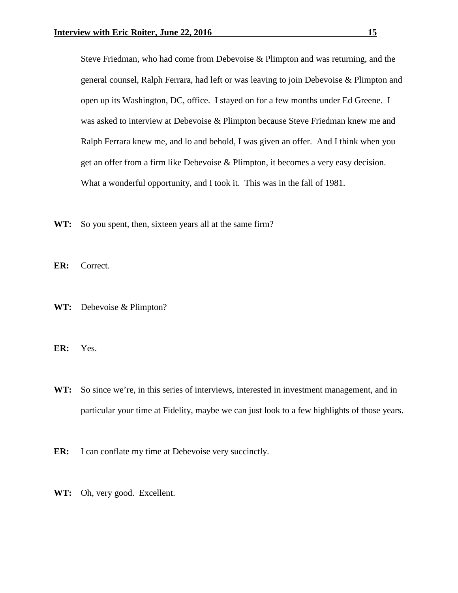Steve Friedman, who had come from Debevoise & Plimpton and was returning, and the general counsel, Ralph Ferrara, had left or was leaving to join Debevoise & Plimpton and open up its Washington, DC, office. I stayed on for a few months under Ed Greene. I was asked to interview at Debevoise & Plimpton because Steve Friedman knew me and Ralph Ferrara knew me, and lo and behold, I was given an offer. And I think when you get an offer from a firm like Debevoise & Plimpton, it becomes a very easy decision. What a wonderful opportunity, and I took it. This was in the fall of 1981.

**WT:** So you spent, then, sixteen years all at the same firm?

**ER:** Correct.

**WT:** Debevoise & Plimpton?

**ER:** Yes.

WT: So since we're, in this series of interviews, interested in investment management, and in particular your time at Fidelity, maybe we can just look to a few highlights of those years.

**ER:** I can conflate my time at Debevoise very succinctly.

**WT:** Oh, very good. Excellent.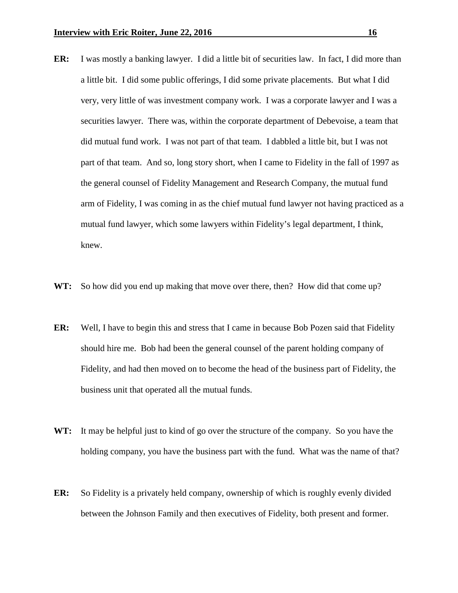- **ER:** I was mostly a banking lawyer. I did a little bit of securities law. In fact, I did more than a little bit. I did some public offerings, I did some private placements. But what I did very, very little of was investment company work. I was a corporate lawyer and I was a securities lawyer. There was, within the corporate department of Debevoise, a team that did mutual fund work. I was not part of that team. I dabbled a little bit, but I was not part of that team. And so, long story short, when I came to Fidelity in the fall of 1997 as the general counsel of Fidelity Management and Research Company, the mutual fund arm of Fidelity, I was coming in as the chief mutual fund lawyer not having practiced as a mutual fund lawyer, which some lawyers within Fidelity's legal department, I think, knew.
- **WT:** So how did you end up making that move over there, then? How did that come up?
- **ER:** Well, I have to begin this and stress that I came in because Bob Pozen said that Fidelity should hire me. Bob had been the general counsel of the parent holding company of Fidelity, and had then moved on to become the head of the business part of Fidelity, the business unit that operated all the mutual funds.
- **WT:** It may be helpful just to kind of go over the structure of the company. So you have the holding company, you have the business part with the fund. What was the name of that?
- **ER:** So Fidelity is a privately held company, ownership of which is roughly evenly divided between the Johnson Family and then executives of Fidelity, both present and former.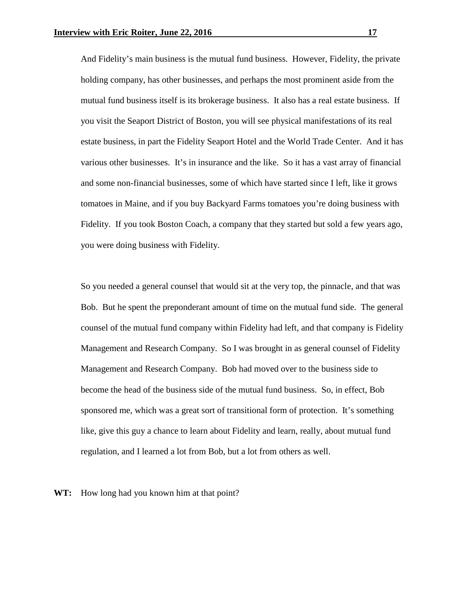And Fidelity's main business is the mutual fund business. However, Fidelity, the private holding company, has other businesses, and perhaps the most prominent aside from the mutual fund business itself is its brokerage business. It also has a real estate business. If you visit the Seaport District of Boston, you will see physical manifestations of its real estate business, in part the Fidelity Seaport Hotel and the World Trade Center. And it has various other businesses. It's in insurance and the like. So it has a vast array of financial and some non-financial businesses, some of which have started since I left, like it grows tomatoes in Maine, and if you buy Backyard Farms tomatoes you're doing business with Fidelity. If you took Boston Coach, a company that they started but sold a few years ago, you were doing business with Fidelity.

So you needed a general counsel that would sit at the very top, the pinnacle, and that was Bob. But he spent the preponderant amount of time on the mutual fund side. The general counsel of the mutual fund company within Fidelity had left, and that company is Fidelity Management and Research Company. So I was brought in as general counsel of Fidelity Management and Research Company. Bob had moved over to the business side to become the head of the business side of the mutual fund business. So, in effect, Bob sponsored me, which was a great sort of transitional form of protection. It's something like, give this guy a chance to learn about Fidelity and learn, really, about mutual fund regulation, and I learned a lot from Bob, but a lot from others as well.

**WT:** How long had you known him at that point?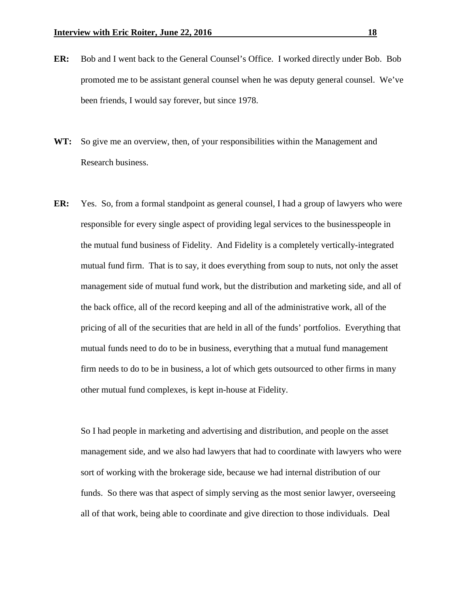- **ER:** Bob and I went back to the General Counsel's Office. I worked directly under Bob. Bob promoted me to be assistant general counsel when he was deputy general counsel. We've been friends, I would say forever, but since 1978.
- **WT:** So give me an overview, then, of your responsibilities within the Management and Research business.
- **ER:** Yes. So, from a formal standpoint as general counsel, I had a group of lawyers who were responsible for every single aspect of providing legal services to the businesspeople in the mutual fund business of Fidelity. And Fidelity is a completely vertically-integrated mutual fund firm. That is to say, it does everything from soup to nuts, not only the asset management side of mutual fund work, but the distribution and marketing side, and all of the back office, all of the record keeping and all of the administrative work, all of the pricing of all of the securities that are held in all of the funds' portfolios. Everything that mutual funds need to do to be in business, everything that a mutual fund management firm needs to do to be in business, a lot of which gets outsourced to other firms in many other mutual fund complexes, is kept in-house at Fidelity.

So I had people in marketing and advertising and distribution, and people on the asset management side, and we also had lawyers that had to coordinate with lawyers who were sort of working with the brokerage side, because we had internal distribution of our funds. So there was that aspect of simply serving as the most senior lawyer, overseeing all of that work, being able to coordinate and give direction to those individuals. Deal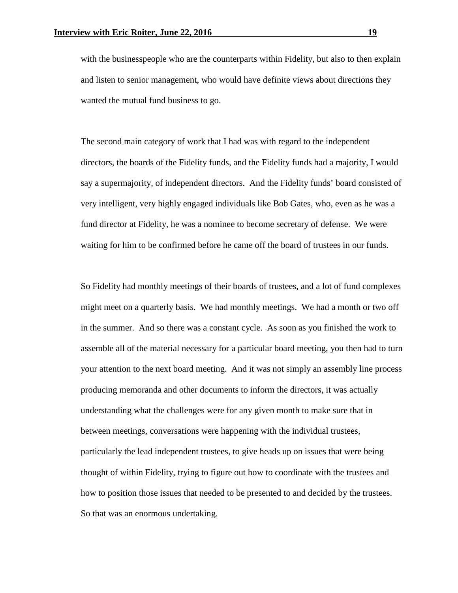with the businesspeople who are the counterparts within Fidelity, but also to then explain and listen to senior management, who would have definite views about directions they wanted the mutual fund business to go.

The second main category of work that I had was with regard to the independent directors, the boards of the Fidelity funds, and the Fidelity funds had a majority, I would say a supermajority, of independent directors. And the Fidelity funds' board consisted of very intelligent, very highly engaged individuals like Bob Gates, who, even as he was a fund director at Fidelity, he was a nominee to become secretary of defense. We were waiting for him to be confirmed before he came off the board of trustees in our funds.

So Fidelity had monthly meetings of their boards of trustees, and a lot of fund complexes might meet on a quarterly basis. We had monthly meetings. We had a month or two off in the summer. And so there was a constant cycle. As soon as you finished the work to assemble all of the material necessary for a particular board meeting, you then had to turn your attention to the next board meeting. And it was not simply an assembly line process producing memoranda and other documents to inform the directors, it was actually understanding what the challenges were for any given month to make sure that in between meetings, conversations were happening with the individual trustees, particularly the lead independent trustees, to give heads up on issues that were being thought of within Fidelity, trying to figure out how to coordinate with the trustees and how to position those issues that needed to be presented to and decided by the trustees. So that was an enormous undertaking.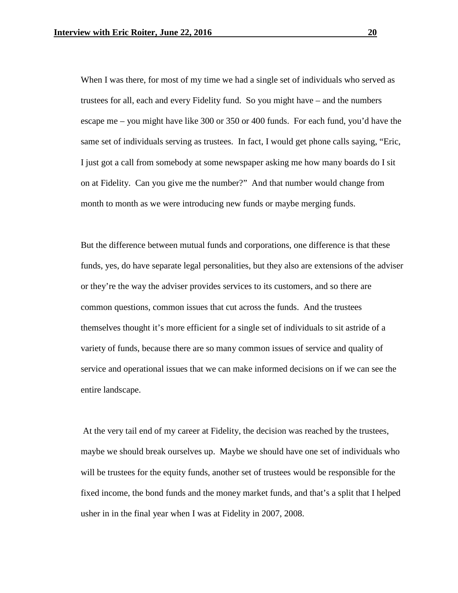When I was there, for most of my time we had a single set of individuals who served as trustees for all, each and every Fidelity fund. So you might have – and the numbers escape me – you might have like 300 or 350 or 400 funds. For each fund, you'd have the same set of individuals serving as trustees. In fact, I would get phone calls saying, "Eric, I just got a call from somebody at some newspaper asking me how many boards do I sit on at Fidelity. Can you give me the number?" And that number would change from month to month as we were introducing new funds or maybe merging funds.

But the difference between mutual funds and corporations, one difference is that these funds, yes, do have separate legal personalities, but they also are extensions of the adviser or they're the way the adviser provides services to its customers, and so there are common questions, common issues that cut across the funds. And the trustees themselves thought it's more efficient for a single set of individuals to sit astride of a variety of funds, because there are so many common issues of service and quality of service and operational issues that we can make informed decisions on if we can see the entire landscape.

At the very tail end of my career at Fidelity, the decision was reached by the trustees, maybe we should break ourselves up. Maybe we should have one set of individuals who will be trustees for the equity funds, another set of trustees would be responsible for the fixed income, the bond funds and the money market funds, and that's a split that I helped usher in in the final year when I was at Fidelity in 2007, 2008.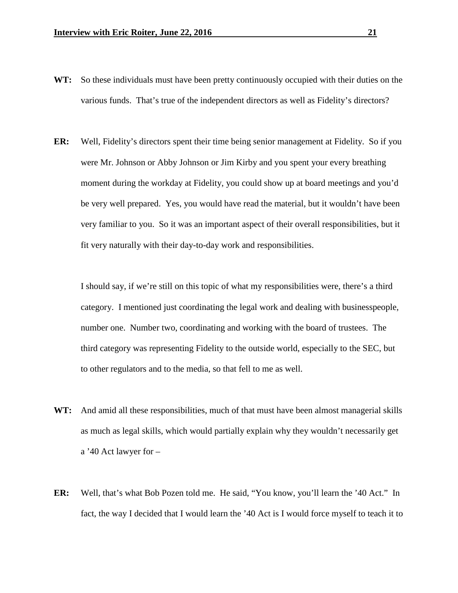- **WT:** So these individuals must have been pretty continuously occupied with their duties on the various funds. That's true of the independent directors as well as Fidelity's directors?
- **ER:** Well, Fidelity's directors spent their time being senior management at Fidelity. So if you were Mr. Johnson or Abby Johnson or Jim Kirby and you spent your every breathing moment during the workday at Fidelity, you could show up at board meetings and you'd be very well prepared. Yes, you would have read the material, but it wouldn't have been very familiar to you. So it was an important aspect of their overall responsibilities, but it fit very naturally with their day-to-day work and responsibilities.

I should say, if we're still on this topic of what my responsibilities were, there's a third category. I mentioned just coordinating the legal work and dealing with businesspeople, number one. Number two, coordinating and working with the board of trustees. The third category was representing Fidelity to the outside world, especially to the SEC, but to other regulators and to the media, so that fell to me as well.

- **WT:** And amid all these responsibilities, much of that must have been almost managerial skills as much as legal skills, which would partially explain why they wouldn't necessarily get a '40 Act lawyer for –
- **ER:** Well, that's what Bob Pozen told me. He said, "You know, you'll learn the '40 Act." In fact, the way I decided that I would learn the '40 Act is I would force myself to teach it to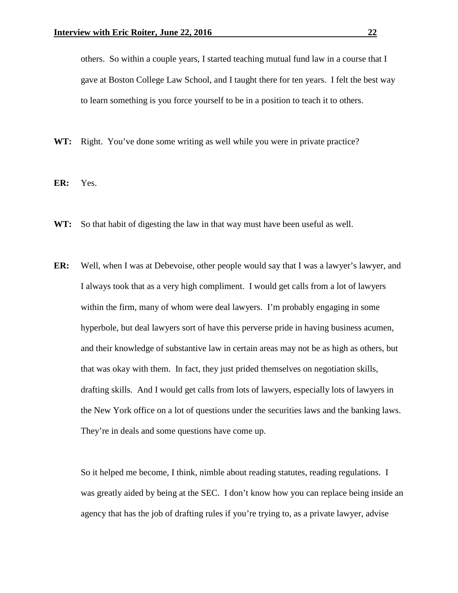others. So within a couple years, I started teaching mutual fund law in a course that I gave at Boston College Law School, and I taught there for ten years. I felt the best way to learn something is you force yourself to be in a position to teach it to others.

**WT:** Right. You've done some writing as well while you were in private practice?

**ER:** Yes.

- **WT:** So that habit of digesting the law in that way must have been useful as well.
- **ER:** Well, when I was at Debevoise, other people would say that I was a lawyer's lawyer, and I always took that as a very high compliment. I would get calls from a lot of lawyers within the firm, many of whom were deal lawyers. I'm probably engaging in some hyperbole, but deal lawyers sort of have this perverse pride in having business acumen, and their knowledge of substantive law in certain areas may not be as high as others, but that was okay with them. In fact, they just prided themselves on negotiation skills, drafting skills. And I would get calls from lots of lawyers, especially lots of lawyers in the New York office on a lot of questions under the securities laws and the banking laws. They're in deals and some questions have come up.

So it helped me become, I think, nimble about reading statutes, reading regulations. I was greatly aided by being at the SEC. I don't know how you can replace being inside an agency that has the job of drafting rules if you're trying to, as a private lawyer, advise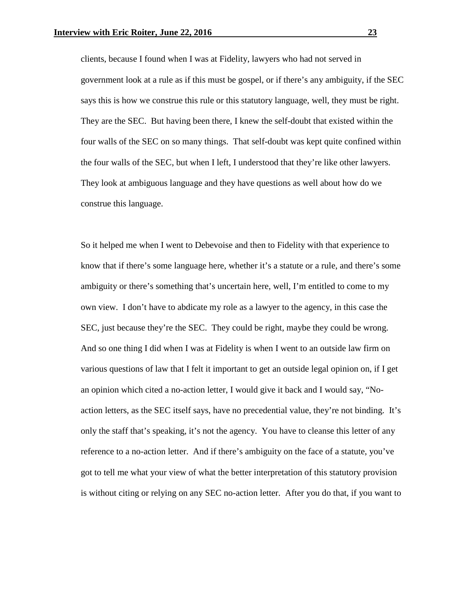clients, because I found when I was at Fidelity, lawyers who had not served in government look at a rule as if this must be gospel, or if there's any ambiguity, if the SEC says this is how we construe this rule or this statutory language, well, they must be right. They are the SEC. But having been there, I knew the self-doubt that existed within the four walls of the SEC on so many things. That self-doubt was kept quite confined within the four walls of the SEC, but when I left, I understood that they're like other lawyers. They look at ambiguous language and they have questions as well about how do we construe this language.

So it helped me when I went to Debevoise and then to Fidelity with that experience to know that if there's some language here, whether it's a statute or a rule, and there's some ambiguity or there's something that's uncertain here, well, I'm entitled to come to my own view. I don't have to abdicate my role as a lawyer to the agency, in this case the SEC, just because they're the SEC. They could be right, maybe they could be wrong. And so one thing I did when I was at Fidelity is when I went to an outside law firm on various questions of law that I felt it important to get an outside legal opinion on, if I get an opinion which cited a no-action letter, I would give it back and I would say, "Noaction letters, as the SEC itself says, have no precedential value, they're not binding. It's only the staff that's speaking, it's not the agency. You have to cleanse this letter of any reference to a no-action letter. And if there's ambiguity on the face of a statute, you've got to tell me what your view of what the better interpretation of this statutory provision is without citing or relying on any SEC no-action letter. After you do that, if you want to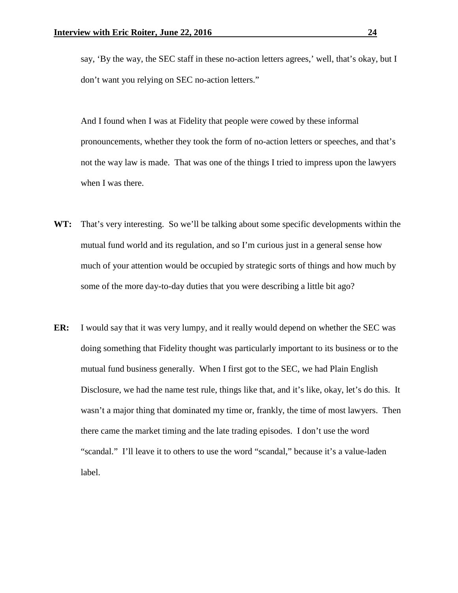say, 'By the way, the SEC staff in these no-action letters agrees,' well, that's okay, but I don't want you relying on SEC no-action letters."

And I found when I was at Fidelity that people were cowed by these informal pronouncements, whether they took the form of no-action letters or speeches, and that's not the way law is made. That was one of the things I tried to impress upon the lawyers when I was there.

- **WT:** That's very interesting. So we'll be talking about some specific developments within the mutual fund world and its regulation, and so I'm curious just in a general sense how much of your attention would be occupied by strategic sorts of things and how much by some of the more day-to-day duties that you were describing a little bit ago?
- **ER:** I would say that it was very lumpy, and it really would depend on whether the SEC was doing something that Fidelity thought was particularly important to its business or to the mutual fund business generally. When I first got to the SEC, we had Plain English Disclosure, we had the name test rule, things like that, and it's like, okay, let's do this. It wasn't a major thing that dominated my time or, frankly, the time of most lawyers. Then there came the market timing and the late trading episodes. I don't use the word "scandal." I'll leave it to others to use the word "scandal," because it's a value-laden label.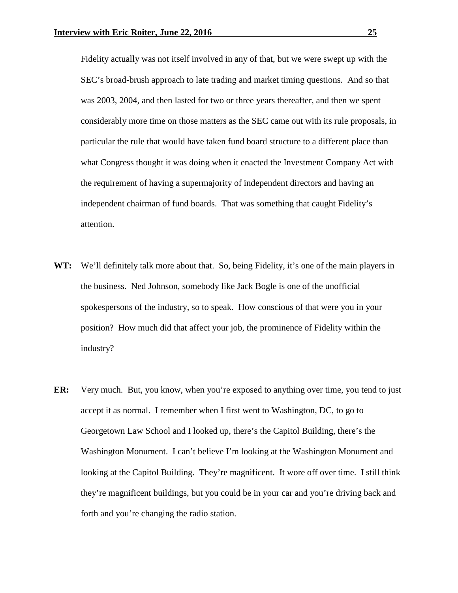Fidelity actually was not itself involved in any of that, but we were swept up with the SEC's broad-brush approach to late trading and market timing questions. And so that was 2003, 2004, and then lasted for two or three years thereafter, and then we spent considerably more time on those matters as the SEC came out with its rule proposals, in particular the rule that would have taken fund board structure to a different place than what Congress thought it was doing when it enacted the Investment Company Act with the requirement of having a supermajority of independent directors and having an independent chairman of fund boards. That was something that caught Fidelity's attention.

- **WT:** We'll definitely talk more about that. So, being Fidelity, it's one of the main players in the business. Ned Johnson, somebody like Jack Bogle is one of the unofficial spokespersons of the industry, so to speak. How conscious of that were you in your position? How much did that affect your job, the prominence of Fidelity within the industry?
- **ER:** Very much. But, you know, when you're exposed to anything over time, you tend to just accept it as normal. I remember when I first went to Washington, DC, to go to Georgetown Law School and I looked up, there's the Capitol Building, there's the Washington Monument. I can't believe I'm looking at the Washington Monument and looking at the Capitol Building. They're magnificent. It wore off over time. I still think they're magnificent buildings, but you could be in your car and you're driving back and forth and you're changing the radio station.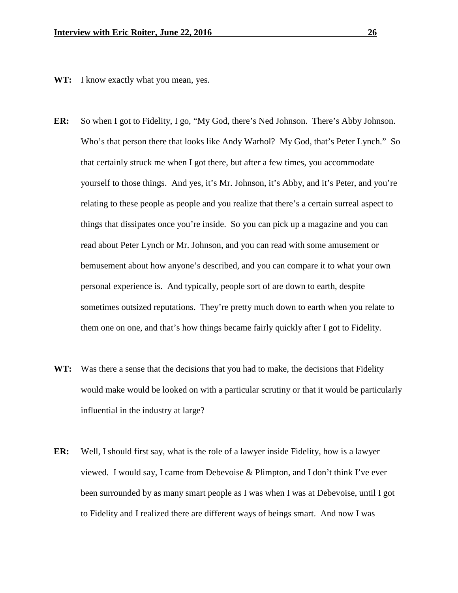- **WT:** I know exactly what you mean, yes.
- **ER:** So when I got to Fidelity, I go, "My God, there's Ned Johnson. There's Abby Johnson. Who's that person there that looks like Andy Warhol? My God, that's Peter Lynch." So that certainly struck me when I got there, but after a few times, you accommodate yourself to those things. And yes, it's Mr. Johnson, it's Abby, and it's Peter, and you're relating to these people as people and you realize that there's a certain surreal aspect to things that dissipates once you're inside. So you can pick up a magazine and you can read about Peter Lynch or Mr. Johnson, and you can read with some amusement or bemusement about how anyone's described, and you can compare it to what your own personal experience is. And typically, people sort of are down to earth, despite sometimes outsized reputations. They're pretty much down to earth when you relate to them one on one, and that's how things became fairly quickly after I got to Fidelity.
- **WT:** Was there a sense that the decisions that you had to make, the decisions that Fidelity would make would be looked on with a particular scrutiny or that it would be particularly influential in the industry at large?
- **ER:** Well, I should first say, what is the role of a lawyer inside Fidelity, how is a lawyer viewed. I would say, I came from Debevoise & Plimpton, and I don't think I've ever been surrounded by as many smart people as I was when I was at Debevoise, until I got to Fidelity and I realized there are different ways of beings smart. And now I was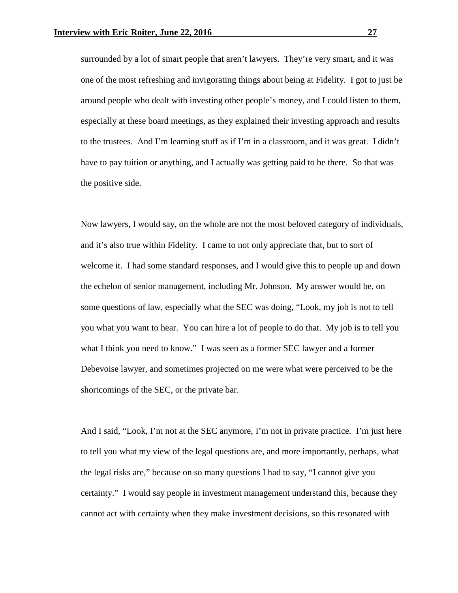surrounded by a lot of smart people that aren't lawyers. They're very smart, and it was one of the most refreshing and invigorating things about being at Fidelity. I got to just be around people who dealt with investing other people's money, and I could listen to them, especially at these board meetings, as they explained their investing approach and results to the trustees. And I'm learning stuff as if I'm in a classroom, and it was great. I didn't have to pay tuition or anything, and I actually was getting paid to be there. So that was the positive side.

Now lawyers, I would say, on the whole are not the most beloved category of individuals, and it's also true within Fidelity. I came to not only appreciate that, but to sort of welcome it. I had some standard responses, and I would give this to people up and down the echelon of senior management, including Mr. Johnson. My answer would be, on some questions of law, especially what the SEC was doing, "Look, my job is not to tell you what you want to hear. You can hire a lot of people to do that. My job is to tell you what I think you need to know." I was seen as a former SEC lawyer and a former Debevoise lawyer, and sometimes projected on me were what were perceived to be the shortcomings of the SEC, or the private bar.

And I said, "Look, I'm not at the SEC anymore, I'm not in private practice. I'm just here to tell you what my view of the legal questions are, and more importantly, perhaps, what the legal risks are," because on so many questions I had to say, "I cannot give you certainty." I would say people in investment management understand this, because they cannot act with certainty when they make investment decisions, so this resonated with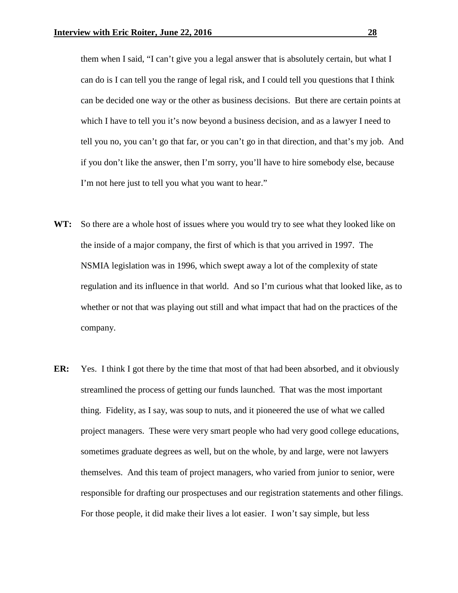them when I said, "I can't give you a legal answer that is absolutely certain, but what I can do is I can tell you the range of legal risk, and I could tell you questions that I think can be decided one way or the other as business decisions. But there are certain points at which I have to tell you it's now beyond a business decision, and as a lawyer I need to tell you no, you can't go that far, or you can't go in that direction, and that's my job. And if you don't like the answer, then I'm sorry, you'll have to hire somebody else, because I'm not here just to tell you what you want to hear."

- **WT:** So there are a whole host of issues where you would try to see what they looked like on the inside of a major company, the first of which is that you arrived in 1997. The NSMIA legislation was in 1996, which swept away a lot of the complexity of state regulation and its influence in that world. And so I'm curious what that looked like, as to whether or not that was playing out still and what impact that had on the practices of the company.
- **ER:** Yes. I think I got there by the time that most of that had been absorbed, and it obviously streamlined the process of getting our funds launched. That was the most important thing. Fidelity, as I say, was soup to nuts, and it pioneered the use of what we called project managers. These were very smart people who had very good college educations, sometimes graduate degrees as well, but on the whole, by and large, were not lawyers themselves. And this team of project managers, who varied from junior to senior, were responsible for drafting our prospectuses and our registration statements and other filings. For those people, it did make their lives a lot easier. I won't say simple, but less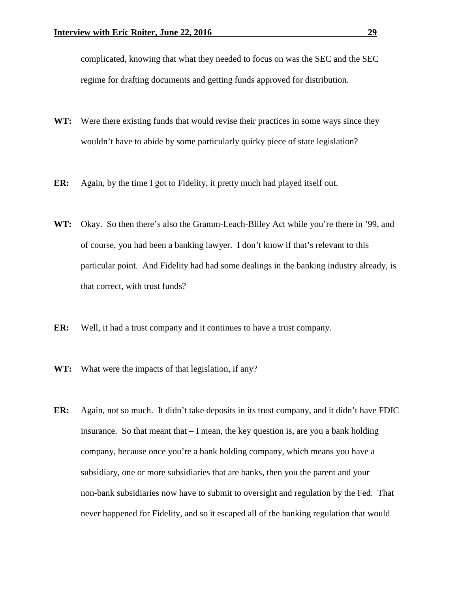complicated, knowing that what they needed to focus on was the SEC and the SEC regime for drafting documents and getting funds approved for distribution.

- WT: Were there existing funds that would revise their practices in some ways since they wouldn't have to abide by some particularly quirky piece of state legislation?
- **ER:** Again, by the time I got to Fidelity, it pretty much had played itself out.
- **WT:** Okay. So then there's also the Gramm-Leach-Bliley Act while you're there in '99, and of course, you had been a banking lawyer. I don't know if that's relevant to this particular point. And Fidelity had had some dealings in the banking industry already, is that correct, with trust funds?
- **ER:** Well, it had a trust company and it continues to have a trust company.
- **WT:** What were the impacts of that legislation, if any?
- **ER:** Again, not so much. It didn't take deposits in its trust company, and it didn't have FDIC insurance. So that meant that  $-I$  mean, the key question is, are you a bank holding company, because once you're a bank holding company, which means you have a subsidiary, one or more subsidiaries that are banks, then you the parent and your non-bank subsidiaries now have to submit to oversight and regulation by the Fed. That never happened for Fidelity, and so it escaped all of the banking regulation that would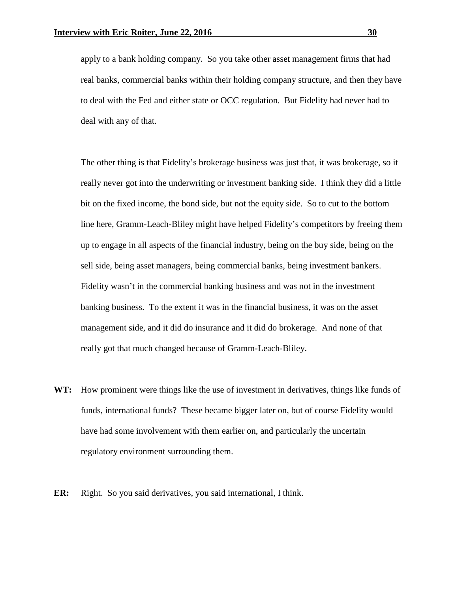apply to a bank holding company. So you take other asset management firms that had real banks, commercial banks within their holding company structure, and then they have to deal with the Fed and either state or OCC regulation. But Fidelity had never had to deal with any of that.

The other thing is that Fidelity's brokerage business was just that, it was brokerage, so it really never got into the underwriting or investment banking side. I think they did a little bit on the fixed income, the bond side, but not the equity side. So to cut to the bottom line here, Gramm-Leach-Bliley might have helped Fidelity's competitors by freeing them up to engage in all aspects of the financial industry, being on the buy side, being on the sell side, being asset managers, being commercial banks, being investment bankers. Fidelity wasn't in the commercial banking business and was not in the investment banking business. To the extent it was in the financial business, it was on the asset management side, and it did do insurance and it did do brokerage. And none of that really got that much changed because of Gramm-Leach-Bliley.

- **WT:** How prominent were things like the use of investment in derivatives, things like funds of funds, international funds? These became bigger later on, but of course Fidelity would have had some involvement with them earlier on, and particularly the uncertain regulatory environment surrounding them.
- **ER:** Right. So you said derivatives, you said international, I think.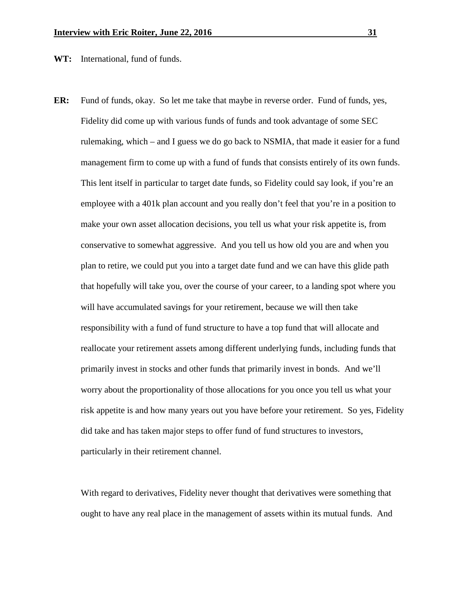**WT:** International, fund of funds.

**ER:** Fund of funds, okay. So let me take that maybe in reverse order. Fund of funds, yes, Fidelity did come up with various funds of funds and took advantage of some SEC rulemaking, which – and I guess we do go back to NSMIA, that made it easier for a fund management firm to come up with a fund of funds that consists entirely of its own funds. This lent itself in particular to target date funds, so Fidelity could say look, if you're an employee with a 401k plan account and you really don't feel that you're in a position to make your own asset allocation decisions, you tell us what your risk appetite is, from conservative to somewhat aggressive. And you tell us how old you are and when you plan to retire, we could put you into a target date fund and we can have this glide path that hopefully will take you, over the course of your career, to a landing spot where you will have accumulated savings for your retirement, because we will then take responsibility with a fund of fund structure to have a top fund that will allocate and reallocate your retirement assets among different underlying funds, including funds that primarily invest in stocks and other funds that primarily invest in bonds. And we'll worry about the proportionality of those allocations for you once you tell us what your risk appetite is and how many years out you have before your retirement. So yes, Fidelity did take and has taken major steps to offer fund of fund structures to investors, particularly in their retirement channel.

With regard to derivatives, Fidelity never thought that derivatives were something that ought to have any real place in the management of assets within its mutual funds. And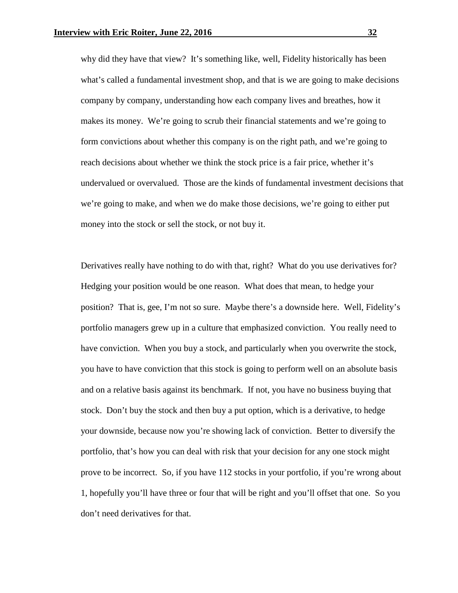why did they have that view? It's something like, well, Fidelity historically has been what's called a fundamental investment shop, and that is we are going to make decisions company by company, understanding how each company lives and breathes, how it makes its money. We're going to scrub their financial statements and we're going to form convictions about whether this company is on the right path, and we're going to reach decisions about whether we think the stock price is a fair price, whether it's undervalued or overvalued. Those are the kinds of fundamental investment decisions that we're going to make, and when we do make those decisions, we're going to either put money into the stock or sell the stock, or not buy it.

Derivatives really have nothing to do with that, right? What do you use derivatives for? Hedging your position would be one reason. What does that mean, to hedge your position? That is, gee, I'm not so sure. Maybe there's a downside here. Well, Fidelity's portfolio managers grew up in a culture that emphasized conviction. You really need to have conviction. When you buy a stock, and particularly when you overwrite the stock, you have to have conviction that this stock is going to perform well on an absolute basis and on a relative basis against its benchmark. If not, you have no business buying that stock. Don't buy the stock and then buy a put option, which is a derivative, to hedge your downside, because now you're showing lack of conviction. Better to diversify the portfolio, that's how you can deal with risk that your decision for any one stock might prove to be incorrect. So, if you have 112 stocks in your portfolio, if you're wrong about 1, hopefully you'll have three or four that will be right and you'll offset that one. So you don't need derivatives for that.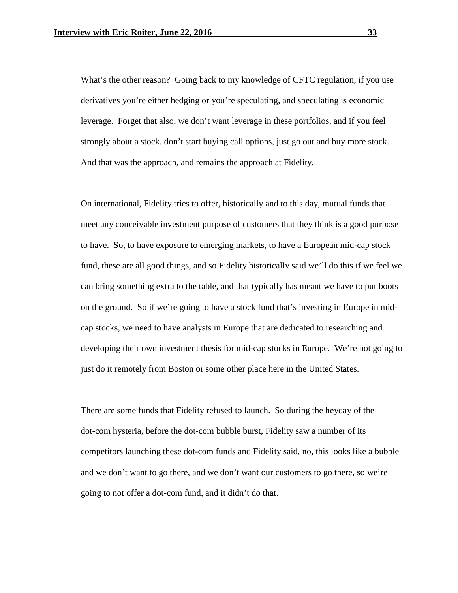What's the other reason? Going back to my knowledge of CFTC regulation, if you use derivatives you're either hedging or you're speculating, and speculating is economic leverage. Forget that also, we don't want leverage in these portfolios, and if you feel strongly about a stock, don't start buying call options, just go out and buy more stock. And that was the approach, and remains the approach at Fidelity.

On international, Fidelity tries to offer, historically and to this day, mutual funds that meet any conceivable investment purpose of customers that they think is a good purpose to have. So, to have exposure to emerging markets, to have a European mid-cap stock fund, these are all good things, and so Fidelity historically said we'll do this if we feel we can bring something extra to the table, and that typically has meant we have to put boots on the ground. So if we're going to have a stock fund that's investing in Europe in midcap stocks, we need to have analysts in Europe that are dedicated to researching and developing their own investment thesis for mid-cap stocks in Europe. We're not going to just do it remotely from Boston or some other place here in the United States.

There are some funds that Fidelity refused to launch. So during the heyday of the dot-com hysteria, before the dot-com bubble burst, Fidelity saw a number of its competitors launching these dot-com funds and Fidelity said, no, this looks like a bubble and we don't want to go there, and we don't want our customers to go there, so we're going to not offer a dot-com fund, and it didn't do that.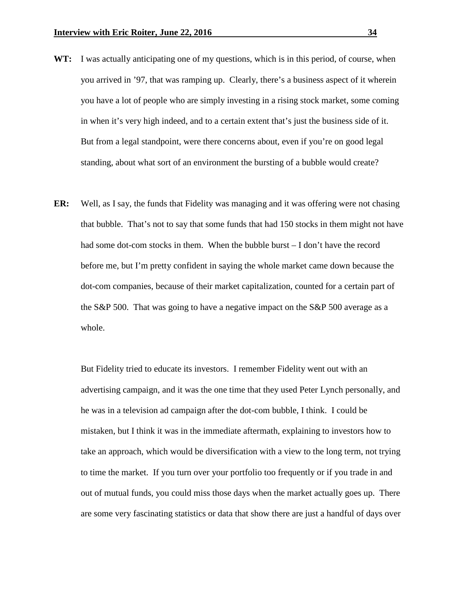- **WT:** I was actually anticipating one of my questions, which is in this period, of course, when you arrived in '97, that was ramping up. Clearly, there's a business aspect of it wherein you have a lot of people who are simply investing in a rising stock market, some coming in when it's very high indeed, and to a certain extent that's just the business side of it. But from a legal standpoint, were there concerns about, even if you're on good legal standing, about what sort of an environment the bursting of a bubble would create?
- **ER:** Well, as I say, the funds that Fidelity was managing and it was offering were not chasing that bubble. That's not to say that some funds that had 150 stocks in them might not have had some dot-com stocks in them. When the bubble burst – I don't have the record before me, but I'm pretty confident in saying the whole market came down because the dot-com companies, because of their market capitalization, counted for a certain part of the S&P 500. That was going to have a negative impact on the S&P 500 average as a whole.

But Fidelity tried to educate its investors. I remember Fidelity went out with an advertising campaign, and it was the one time that they used Peter Lynch personally, and he was in a television ad campaign after the dot-com bubble, I think. I could be mistaken, but I think it was in the immediate aftermath, explaining to investors how to take an approach, which would be diversification with a view to the long term, not trying to time the market. If you turn over your portfolio too frequently or if you trade in and out of mutual funds, you could miss those days when the market actually goes up. There are some very fascinating statistics or data that show there are just a handful of days over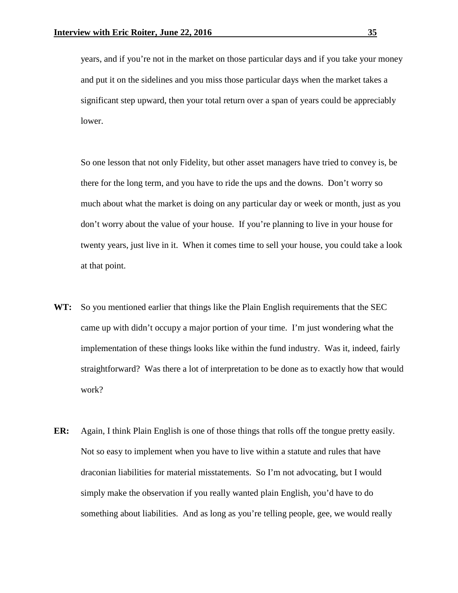years, and if you're not in the market on those particular days and if you take your money and put it on the sidelines and you miss those particular days when the market takes a significant step upward, then your total return over a span of years could be appreciably lower.

So one lesson that not only Fidelity, but other asset managers have tried to convey is, be there for the long term, and you have to ride the ups and the downs. Don't worry so much about what the market is doing on any particular day or week or month, just as you don't worry about the value of your house. If you're planning to live in your house for twenty years, just live in it. When it comes time to sell your house, you could take a look at that point.

- **WT:** So you mentioned earlier that things like the Plain English requirements that the SEC came up with didn't occupy a major portion of your time. I'm just wondering what the implementation of these things looks like within the fund industry. Was it, indeed, fairly straightforward? Was there a lot of interpretation to be done as to exactly how that would work?
- **ER:** Again, I think Plain English is one of those things that rolls off the tongue pretty easily. Not so easy to implement when you have to live within a statute and rules that have draconian liabilities for material misstatements. So I'm not advocating, but I would simply make the observation if you really wanted plain English, you'd have to do something about liabilities. And as long as you're telling people, gee, we would really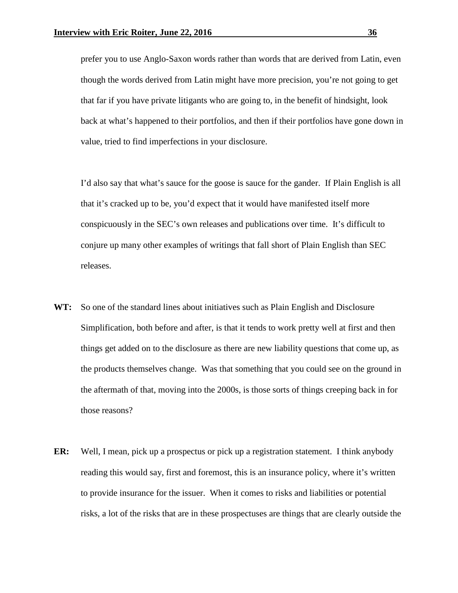prefer you to use Anglo-Saxon words rather than words that are derived from Latin, even though the words derived from Latin might have more precision, you're not going to get that far if you have private litigants who are going to, in the benefit of hindsight, look back at what's happened to their portfolios, and then if their portfolios have gone down in value, tried to find imperfections in your disclosure.

I'd also say that what's sauce for the goose is sauce for the gander. If Plain English is all that it's cracked up to be, you'd expect that it would have manifested itself more conspicuously in the SEC's own releases and publications over time. It's difficult to conjure up many other examples of writings that fall short of Plain English than SEC releases.

- **WT:** So one of the standard lines about initiatives such as Plain English and Disclosure Simplification, both before and after, is that it tends to work pretty well at first and then things get added on to the disclosure as there are new liability questions that come up, as the products themselves change. Was that something that you could see on the ground in the aftermath of that, moving into the 2000s, is those sorts of things creeping back in for those reasons?
- **ER:** Well, I mean, pick up a prospectus or pick up a registration statement. I think anybody reading this would say, first and foremost, this is an insurance policy, where it's written to provide insurance for the issuer. When it comes to risks and liabilities or potential risks, a lot of the risks that are in these prospectuses are things that are clearly outside the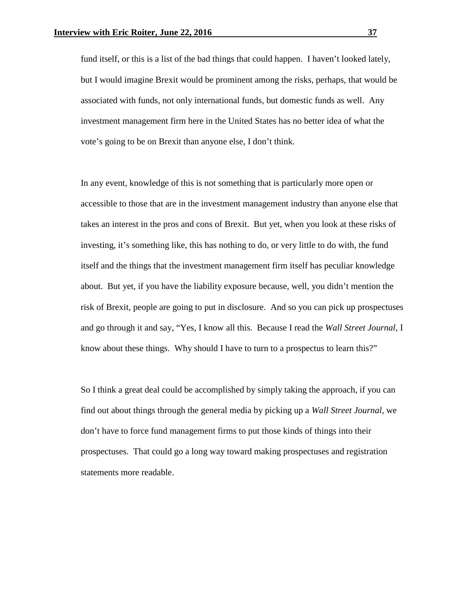fund itself, or this is a list of the bad things that could happen. I haven't looked lately, but I would imagine Brexit would be prominent among the risks, perhaps, that would be associated with funds, not only international funds, but domestic funds as well. Any investment management firm here in the United States has no better idea of what the vote's going to be on Brexit than anyone else, I don't think.

In any event, knowledge of this is not something that is particularly more open or accessible to those that are in the investment management industry than anyone else that takes an interest in the pros and cons of Brexit. But yet, when you look at these risks of investing, it's something like, this has nothing to do, or very little to do with, the fund itself and the things that the investment management firm itself has peculiar knowledge about. But yet, if you have the liability exposure because, well, you didn't mention the risk of Brexit, people are going to put in disclosure. And so you can pick up prospectuses and go through it and say, "Yes, I know all this. Because I read the *Wall Street Journal*, I know about these things. Why should I have to turn to a prospectus to learn this?"

So I think a great deal could be accomplished by simply taking the approach, if you can find out about things through the general media by picking up a *Wall Street Journal*, we don't have to force fund management firms to put those kinds of things into their prospectuses. That could go a long way toward making prospectuses and registration statements more readable.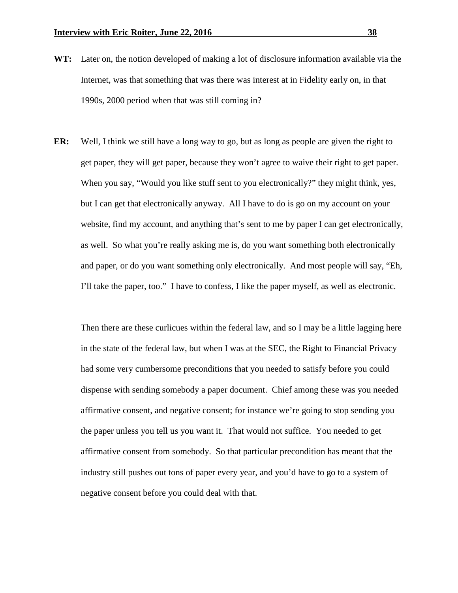- **WT:** Later on, the notion developed of making a lot of disclosure information available via the Internet, was that something that was there was interest at in Fidelity early on, in that 1990s, 2000 period when that was still coming in?
- **ER:** Well, I think we still have a long way to go, but as long as people are given the right to get paper, they will get paper, because they won't agree to waive their right to get paper. When you say, "Would you like stuff sent to you electronically?" they might think, yes, but I can get that electronically anyway. All I have to do is go on my account on your website, find my account, and anything that's sent to me by paper I can get electronically, as well. So what you're really asking me is, do you want something both electronically and paper, or do you want something only electronically. And most people will say, "Eh, I'll take the paper, too." I have to confess, I like the paper myself, as well as electronic.

Then there are these curlicues within the federal law, and so I may be a little lagging here in the state of the federal law, but when I was at the SEC, the Right to Financial Privacy had some very cumbersome preconditions that you needed to satisfy before you could dispense with sending somebody a paper document. Chief among these was you needed affirmative consent, and negative consent; for instance we're going to stop sending you the paper unless you tell us you want it. That would not suffice. You needed to get affirmative consent from somebody. So that particular precondition has meant that the industry still pushes out tons of paper every year, and you'd have to go to a system of negative consent before you could deal with that.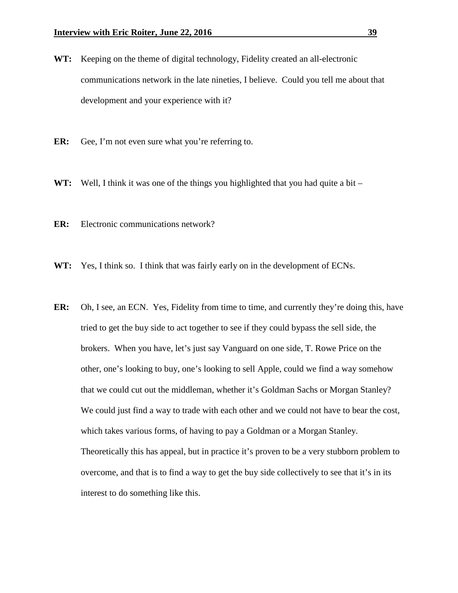- **WT:** Keeping on the theme of digital technology, Fidelity created an all-electronic communications network in the late nineties, I believe. Could you tell me about that development and your experience with it?
- **ER:** Gee, I'm not even sure what you're referring to.
- **WT:** Well, I think it was one of the things you highlighted that you had quite a bit –
- **ER:** Electronic communications network?
- **WT:** Yes, I think so. I think that was fairly early on in the development of ECNs.
- **ER:** Oh, I see, an ECN. Yes, Fidelity from time to time, and currently they're doing this, have tried to get the buy side to act together to see if they could bypass the sell side, the brokers. When you have, let's just say Vanguard on one side, T. Rowe Price on the other, one's looking to buy, one's looking to sell Apple, could we find a way somehow that we could cut out the middleman, whether it's Goldman Sachs or Morgan Stanley? We could just find a way to trade with each other and we could not have to bear the cost, which takes various forms, of having to pay a Goldman or a Morgan Stanley. Theoretically this has appeal, but in practice it's proven to be a very stubborn problem to overcome, and that is to find a way to get the buy side collectively to see that it's in its interest to do something like this.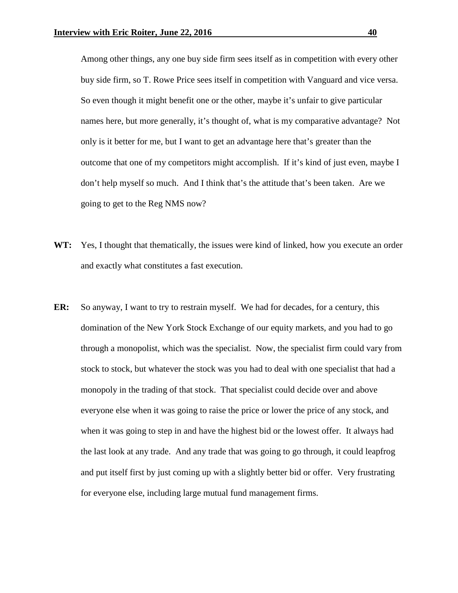Among other things, any one buy side firm sees itself as in competition with every other buy side firm, so T. Rowe Price sees itself in competition with Vanguard and vice versa. So even though it might benefit one or the other, maybe it's unfair to give particular names here, but more generally, it's thought of, what is my comparative advantage? Not only is it better for me, but I want to get an advantage here that's greater than the outcome that one of my competitors might accomplish. If it's kind of just even, maybe I don't help myself so much. And I think that's the attitude that's been taken. Are we going to get to the Reg NMS now?

- **WT:** Yes, I thought that thematically, the issues were kind of linked, how you execute an order and exactly what constitutes a fast execution.
- **ER:** So anyway, I want to try to restrain myself. We had for decades, for a century, this domination of the New York Stock Exchange of our equity markets, and you had to go through a monopolist, which was the specialist. Now, the specialist firm could vary from stock to stock, but whatever the stock was you had to deal with one specialist that had a monopoly in the trading of that stock. That specialist could decide over and above everyone else when it was going to raise the price or lower the price of any stock, and when it was going to step in and have the highest bid or the lowest offer. It always had the last look at any trade. And any trade that was going to go through, it could leapfrog and put itself first by just coming up with a slightly better bid or offer. Very frustrating for everyone else, including large mutual fund management firms.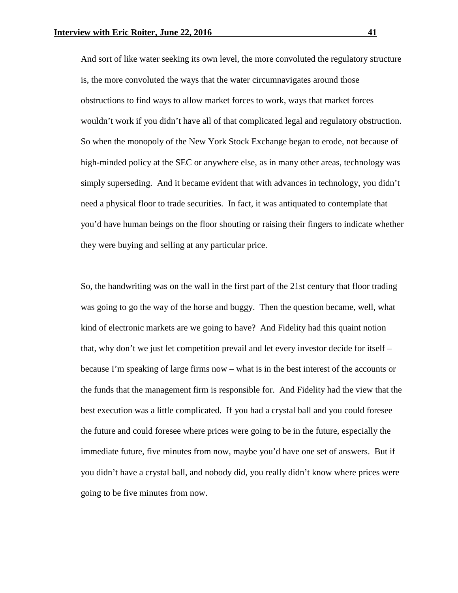And sort of like water seeking its own level, the more convoluted the regulatory structure is, the more convoluted the ways that the water circumnavigates around those obstructions to find ways to allow market forces to work, ways that market forces wouldn't work if you didn't have all of that complicated legal and regulatory obstruction. So when the monopoly of the New York Stock Exchange began to erode, not because of high-minded policy at the SEC or anywhere else, as in many other areas, technology was simply superseding. And it became evident that with advances in technology, you didn't need a physical floor to trade securities. In fact, it was antiquated to contemplate that you'd have human beings on the floor shouting or raising their fingers to indicate whether they were buying and selling at any particular price.

So, the handwriting was on the wall in the first part of the 21st century that floor trading was going to go the way of the horse and buggy. Then the question became, well, what kind of electronic markets are we going to have? And Fidelity had this quaint notion that, why don't we just let competition prevail and let every investor decide for itself – because I'm speaking of large firms now – what is in the best interest of the accounts or the funds that the management firm is responsible for. And Fidelity had the view that the best execution was a little complicated. If you had a crystal ball and you could foresee the future and could foresee where prices were going to be in the future, especially the immediate future, five minutes from now, maybe you'd have one set of answers. But if you didn't have a crystal ball, and nobody did, you really didn't know where prices were going to be five minutes from now.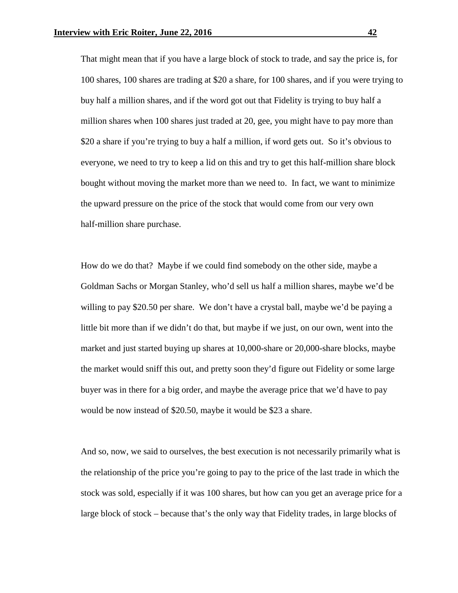That might mean that if you have a large block of stock to trade, and say the price is, for 100 shares, 100 shares are trading at \$20 a share, for 100 shares, and if you were trying to buy half a million shares, and if the word got out that Fidelity is trying to buy half a million shares when 100 shares just traded at 20, gee, you might have to pay more than \$20 a share if you're trying to buy a half a million, if word gets out. So it's obvious to everyone, we need to try to keep a lid on this and try to get this half-million share block bought without moving the market more than we need to. In fact, we want to minimize the upward pressure on the price of the stock that would come from our very own half-million share purchase.

How do we do that? Maybe if we could find somebody on the other side, maybe a Goldman Sachs or Morgan Stanley, who'd sell us half a million shares, maybe we'd be willing to pay \$20.50 per share. We don't have a crystal ball, maybe we'd be paying a little bit more than if we didn't do that, but maybe if we just, on our own, went into the market and just started buying up shares at 10,000-share or 20,000-share blocks, maybe the market would sniff this out, and pretty soon they'd figure out Fidelity or some large buyer was in there for a big order, and maybe the average price that we'd have to pay would be now instead of \$20.50, maybe it would be \$23 a share.

And so, now, we said to ourselves, the best execution is not necessarily primarily what is the relationship of the price you're going to pay to the price of the last trade in which the stock was sold, especially if it was 100 shares, but how can you get an average price for a large block of stock – because that's the only way that Fidelity trades, in large blocks of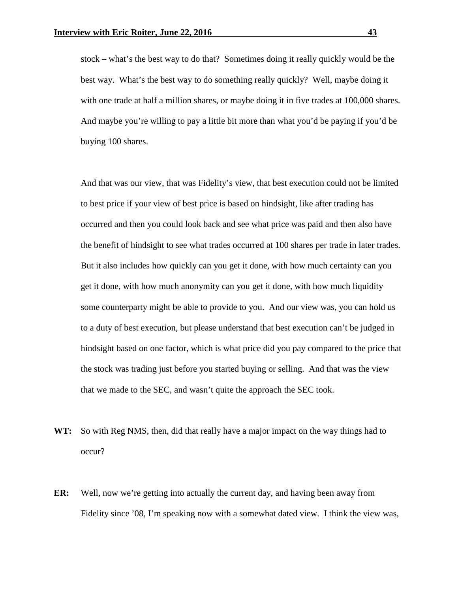stock – what's the best way to do that? Sometimes doing it really quickly would be the best way. What's the best way to do something really quickly? Well, maybe doing it with one trade at half a million shares, or maybe doing it in five trades at 100,000 shares. And maybe you're willing to pay a little bit more than what you'd be paying if you'd be buying 100 shares.

And that was our view, that was Fidelity's view, that best execution could not be limited to best price if your view of best price is based on hindsight, like after trading has occurred and then you could look back and see what price was paid and then also have the benefit of hindsight to see what trades occurred at 100 shares per trade in later trades. But it also includes how quickly can you get it done, with how much certainty can you get it done, with how much anonymity can you get it done, with how much liquidity some counterparty might be able to provide to you. And our view was, you can hold us to a duty of best execution, but please understand that best execution can't be judged in hindsight based on one factor, which is what price did you pay compared to the price that the stock was trading just before you started buying or selling. And that was the view that we made to the SEC, and wasn't quite the approach the SEC took.

- **WT:** So with Reg NMS, then, did that really have a major impact on the way things had to occur?
- **ER:** Well, now we're getting into actually the current day, and having been away from Fidelity since '08, I'm speaking now with a somewhat dated view. I think the view was,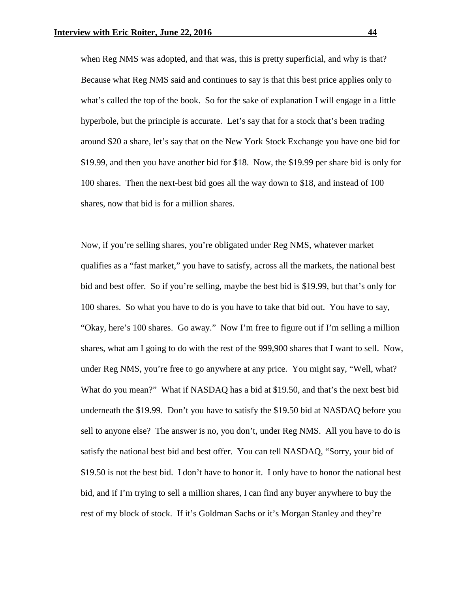when Reg NMS was adopted, and that was, this is pretty superficial, and why is that? Because what Reg NMS said and continues to say is that this best price applies only to what's called the top of the book. So for the sake of explanation I will engage in a little hyperbole, but the principle is accurate. Let's say that for a stock that's been trading around \$20 a share, let's say that on the New York Stock Exchange you have one bid for \$19.99, and then you have another bid for \$18. Now, the \$19.99 per share bid is only for 100 shares. Then the next-best bid goes all the way down to \$18, and instead of 100 shares, now that bid is for a million shares.

Now, if you're selling shares, you're obligated under Reg NMS, whatever market qualifies as a "fast market," you have to satisfy, across all the markets, the national best bid and best offer. So if you're selling, maybe the best bid is \$19.99, but that's only for 100 shares. So what you have to do is you have to take that bid out. You have to say, "Okay, here's 100 shares. Go away." Now I'm free to figure out if I'm selling a million shares, what am I going to do with the rest of the 999,900 shares that I want to sell. Now, under Reg NMS, you're free to go anywhere at any price. You might say, "Well, what? What do you mean?" What if NASDAQ has a bid at \$19.50, and that's the next best bid underneath the \$19.99. Don't you have to satisfy the \$19.50 bid at NASDAQ before you sell to anyone else? The answer is no, you don't, under Reg NMS. All you have to do is satisfy the national best bid and best offer. You can tell NASDAQ, "Sorry, your bid of \$19.50 is not the best bid. I don't have to honor it. I only have to honor the national best bid, and if I'm trying to sell a million shares, I can find any buyer anywhere to buy the rest of my block of stock. If it's Goldman Sachs or it's Morgan Stanley and they're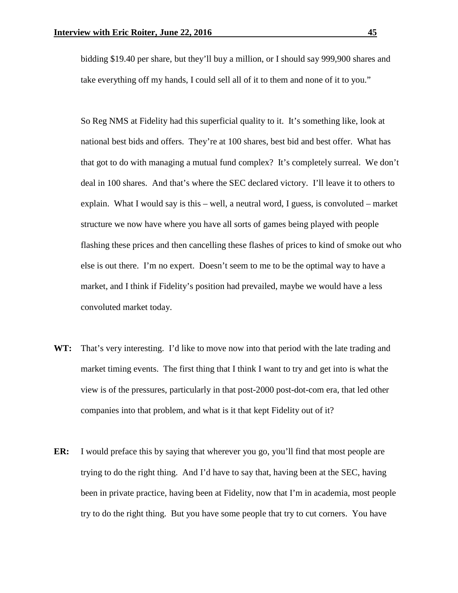bidding \$19.40 per share, but they'll buy a million, or I should say 999,900 shares and take everything off my hands, I could sell all of it to them and none of it to you."

So Reg NMS at Fidelity had this superficial quality to it. It's something like, look at national best bids and offers. They're at 100 shares, best bid and best offer. What has that got to do with managing a mutual fund complex? It's completely surreal. We don't deal in 100 shares. And that's where the SEC declared victory. I'll leave it to others to explain. What I would say is this – well, a neutral word, I guess, is convoluted – market structure we now have where you have all sorts of games being played with people flashing these prices and then cancelling these flashes of prices to kind of smoke out who else is out there. I'm no expert. Doesn't seem to me to be the optimal way to have a market, and I think if Fidelity's position had prevailed, maybe we would have a less convoluted market today.

- **WT:** That's very interesting. I'd like to move now into that period with the late trading and market timing events. The first thing that I think I want to try and get into is what the view is of the pressures, particularly in that post-2000 post-dot-com era, that led other companies into that problem, and what is it that kept Fidelity out of it?
- **ER:** I would preface this by saying that wherever you go, you'll find that most people are trying to do the right thing. And I'd have to say that, having been at the SEC, having been in private practice, having been at Fidelity, now that I'm in academia, most people try to do the right thing. But you have some people that try to cut corners. You have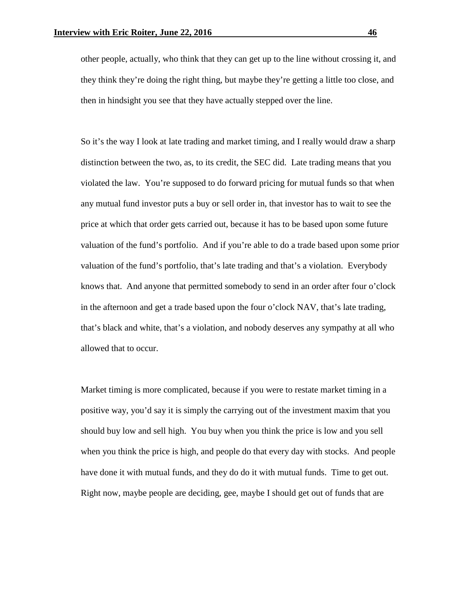other people, actually, who think that they can get up to the line without crossing it, and they think they're doing the right thing, but maybe they're getting a little too close, and then in hindsight you see that they have actually stepped over the line.

So it's the way I look at late trading and market timing, and I really would draw a sharp distinction between the two, as, to its credit, the SEC did. Late trading means that you violated the law. You're supposed to do forward pricing for mutual funds so that when any mutual fund investor puts a buy or sell order in, that investor has to wait to see the price at which that order gets carried out, because it has to be based upon some future valuation of the fund's portfolio. And if you're able to do a trade based upon some prior valuation of the fund's portfolio, that's late trading and that's a violation. Everybody knows that. And anyone that permitted somebody to send in an order after four o'clock in the afternoon and get a trade based upon the four o'clock NAV, that's late trading, that's black and white, that's a violation, and nobody deserves any sympathy at all who allowed that to occur.

Market timing is more complicated, because if you were to restate market timing in a positive way, you'd say it is simply the carrying out of the investment maxim that you should buy low and sell high. You buy when you think the price is low and you sell when you think the price is high, and people do that every day with stocks. And people have done it with mutual funds, and they do do it with mutual funds. Time to get out. Right now, maybe people are deciding, gee, maybe I should get out of funds that are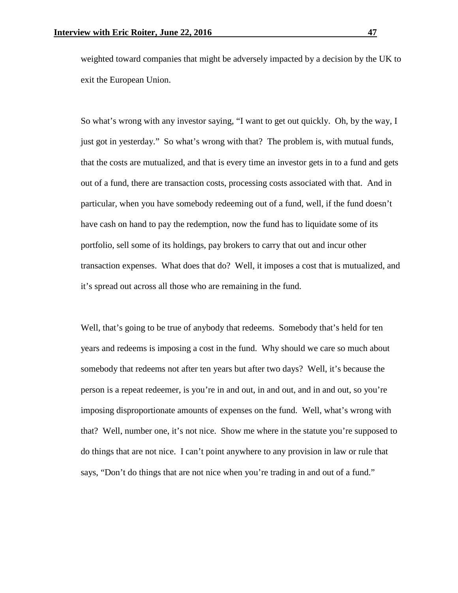weighted toward companies that might be adversely impacted by a decision by the UK to exit the European Union.

So what's wrong with any investor saying, "I want to get out quickly. Oh, by the way, I just got in yesterday." So what's wrong with that? The problem is, with mutual funds, that the costs are mutualized, and that is every time an investor gets in to a fund and gets out of a fund, there are transaction costs, processing costs associated with that. And in particular, when you have somebody redeeming out of a fund, well, if the fund doesn't have cash on hand to pay the redemption, now the fund has to liquidate some of its portfolio, sell some of its holdings, pay brokers to carry that out and incur other transaction expenses. What does that do? Well, it imposes a cost that is mutualized, and it's spread out across all those who are remaining in the fund.

Well, that's going to be true of anybody that redeems. Somebody that's held for ten years and redeems is imposing a cost in the fund. Why should we care so much about somebody that redeems not after ten years but after two days? Well, it's because the person is a repeat redeemer, is you're in and out, in and out, and in and out, so you're imposing disproportionate amounts of expenses on the fund. Well, what's wrong with that? Well, number one, it's not nice. Show me where in the statute you're supposed to do things that are not nice. I can't point anywhere to any provision in law or rule that says, "Don't do things that are not nice when you're trading in and out of a fund."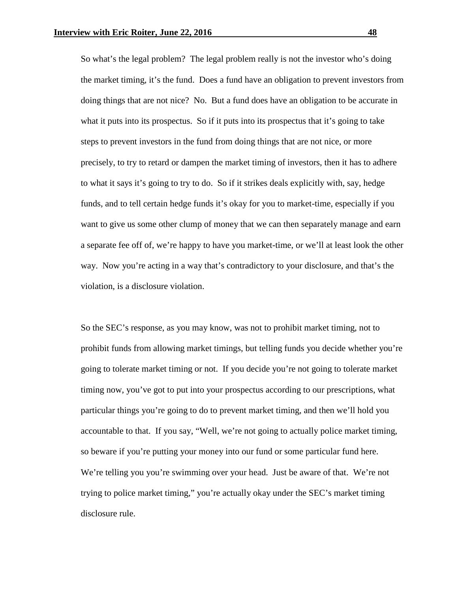So what's the legal problem? The legal problem really is not the investor who's doing the market timing, it's the fund. Does a fund have an obligation to prevent investors from doing things that are not nice? No. But a fund does have an obligation to be accurate in what it puts into its prospectus. So if it puts into its prospectus that it's going to take steps to prevent investors in the fund from doing things that are not nice, or more precisely, to try to retard or dampen the market timing of investors, then it has to adhere to what it says it's going to try to do. So if it strikes deals explicitly with, say, hedge funds, and to tell certain hedge funds it's okay for you to market-time, especially if you want to give us some other clump of money that we can then separately manage and earn a separate fee off of, we're happy to have you market-time, or we'll at least look the other way. Now you're acting in a way that's contradictory to your disclosure, and that's the violation, is a disclosure violation.

So the SEC's response, as you may know, was not to prohibit market timing, not to prohibit funds from allowing market timings, but telling funds you decide whether you're going to tolerate market timing or not. If you decide you're not going to tolerate market timing now, you've got to put into your prospectus according to our prescriptions, what particular things you're going to do to prevent market timing, and then we'll hold you accountable to that. If you say, "Well, we're not going to actually police market timing, so beware if you're putting your money into our fund or some particular fund here. We're telling you you're swimming over your head. Just be aware of that. We're not trying to police market timing," you're actually okay under the SEC's market timing disclosure rule.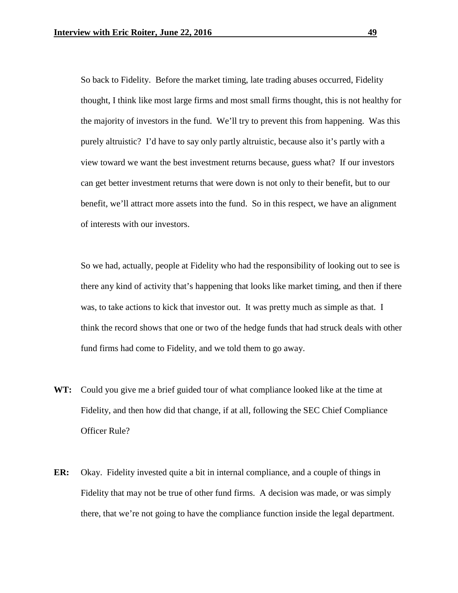So back to Fidelity. Before the market timing, late trading abuses occurred, Fidelity thought, I think like most large firms and most small firms thought, this is not healthy for the majority of investors in the fund. We'll try to prevent this from happening. Was this purely altruistic? I'd have to say only partly altruistic, because also it's partly with a view toward we want the best investment returns because, guess what? If our investors can get better investment returns that were down is not only to their benefit, but to our benefit, we'll attract more assets into the fund. So in this respect, we have an alignment of interests with our investors.

So we had, actually, people at Fidelity who had the responsibility of looking out to see is there any kind of activity that's happening that looks like market timing, and then if there was, to take actions to kick that investor out. It was pretty much as simple as that. I think the record shows that one or two of the hedge funds that had struck deals with other fund firms had come to Fidelity, and we told them to go away.

- **WT:** Could you give me a brief guided tour of what compliance looked like at the time at Fidelity, and then how did that change, if at all, following the SEC Chief Compliance Officer Rule?
- **ER:** Okay. Fidelity invested quite a bit in internal compliance, and a couple of things in Fidelity that may not be true of other fund firms. A decision was made, or was simply there, that we're not going to have the compliance function inside the legal department.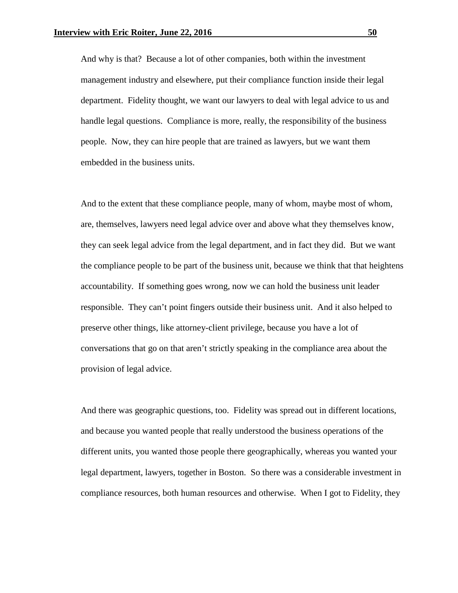And why is that? Because a lot of other companies, both within the investment management industry and elsewhere, put their compliance function inside their legal department. Fidelity thought, we want our lawyers to deal with legal advice to us and handle legal questions. Compliance is more, really, the responsibility of the business people. Now, they can hire people that are trained as lawyers, but we want them embedded in the business units.

And to the extent that these compliance people, many of whom, maybe most of whom, are, themselves, lawyers need legal advice over and above what they themselves know, they can seek legal advice from the legal department, and in fact they did. But we want the compliance people to be part of the business unit, because we think that that heightens accountability. If something goes wrong, now we can hold the business unit leader responsible. They can't point fingers outside their business unit. And it also helped to preserve other things, like attorney-client privilege, because you have a lot of conversations that go on that aren't strictly speaking in the compliance area about the provision of legal advice.

And there was geographic questions, too. Fidelity was spread out in different locations, and because you wanted people that really understood the business operations of the different units, you wanted those people there geographically, whereas you wanted your legal department, lawyers, together in Boston. So there was a considerable investment in compliance resources, both human resources and otherwise. When I got to Fidelity, they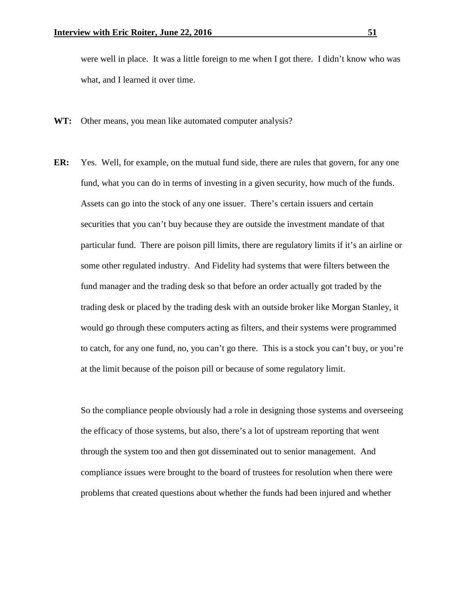were well in place. It was a little foreign to me when I got there. I didn't know who was what, and I learned it over time.

- **WT:** Other means, you mean like automated computer analysis?
- **ER:** Yes. Well, for example, on the mutual fund side, there are rules that govern, for any one fund, what you can do in terms of investing in a given security, how much of the funds. Assets can go into the stock of any one issuer. There's certain issuers and certain securities that you can't buy because they are outside the investment mandate of that particular fund. There are poison pill limits, there are regulatory limits if it's an airline or some other regulated industry. And Fidelity had systems that were filters between the fund manager and the trading desk so that before an order actually got traded by the trading desk or placed by the trading desk with an outside broker like Morgan Stanley, it would go through these computers acting as filters, and their systems were programmed to catch, for any one fund, no, you can't go there. This is a stock you can't buy, or you're at the limit because of the poison pill or because of some regulatory limit.

So the compliance people obviously had a role in designing those systems and overseeing the efficacy of those systems, but also, there's a lot of upstream reporting that went through the system too and then got disseminated out to senior management. And compliance issues were brought to the board of trustees for resolution when there were problems that created questions about whether the funds had been injured and whether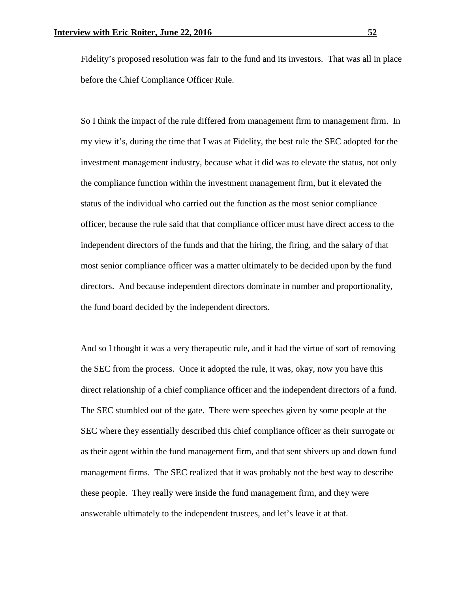Fidelity's proposed resolution was fair to the fund and its investors. That was all in place before the Chief Compliance Officer Rule.

So I think the impact of the rule differed from management firm to management firm. In my view it's, during the time that I was at Fidelity, the best rule the SEC adopted for the investment management industry, because what it did was to elevate the status, not only the compliance function within the investment management firm, but it elevated the status of the individual who carried out the function as the most senior compliance officer, because the rule said that that compliance officer must have direct access to the independent directors of the funds and that the hiring, the firing, and the salary of that most senior compliance officer was a matter ultimately to be decided upon by the fund directors. And because independent directors dominate in number and proportionality, the fund board decided by the independent directors.

And so I thought it was a very therapeutic rule, and it had the virtue of sort of removing the SEC from the process. Once it adopted the rule, it was, okay, now you have this direct relationship of a chief compliance officer and the independent directors of a fund. The SEC stumbled out of the gate. There were speeches given by some people at the SEC where they essentially described this chief compliance officer as their surrogate or as their agent within the fund management firm, and that sent shivers up and down fund management firms. The SEC realized that it was probably not the best way to describe these people. They really were inside the fund management firm, and they were answerable ultimately to the independent trustees, and let's leave it at that.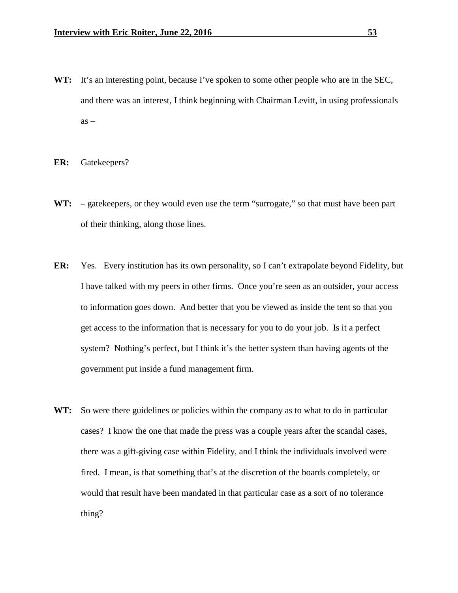- WT: It's an interesting point, because I've spoken to some other people who are in the SEC, and there was an interest, I think beginning with Chairman Levitt, in using professionals  $as -$
- **ER:** Gatekeepers?
- WT: gatekeepers, or they would even use the term "surrogate," so that must have been part of their thinking, along those lines.
- **ER:** Yes. Every institution has its own personality, so I can't extrapolate beyond Fidelity, but I have talked with my peers in other firms. Once you're seen as an outsider, your access to information goes down. And better that you be viewed as inside the tent so that you get access to the information that is necessary for you to do your job. Is it a perfect system? Nothing's perfect, but I think it's the better system than having agents of the government put inside a fund management firm.
- **WT:** So were there guidelines or policies within the company as to what to do in particular cases? I know the one that made the press was a couple years after the scandal cases, there was a gift-giving case within Fidelity, and I think the individuals involved were fired. I mean, is that something that's at the discretion of the boards completely, or would that result have been mandated in that particular case as a sort of no tolerance thing?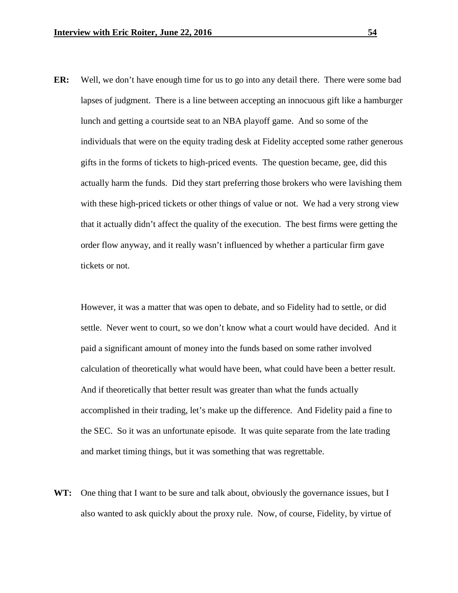**ER:** Well, we don't have enough time for us to go into any detail there. There were some bad lapses of judgment. There is a line between accepting an innocuous gift like a hamburger lunch and getting a courtside seat to an NBA playoff game. And so some of the individuals that were on the equity trading desk at Fidelity accepted some rather generous gifts in the forms of tickets to high-priced events. The question became, gee, did this actually harm the funds. Did they start preferring those brokers who were lavishing them with these high-priced tickets or other things of value or not. We had a very strong view that it actually didn't affect the quality of the execution. The best firms were getting the order flow anyway, and it really wasn't influenced by whether a particular firm gave tickets or not.

However, it was a matter that was open to debate, and so Fidelity had to settle, or did settle. Never went to court, so we don't know what a court would have decided. And it paid a significant amount of money into the funds based on some rather involved calculation of theoretically what would have been, what could have been a better result. And if theoretically that better result was greater than what the funds actually accomplished in their trading, let's make up the difference. And Fidelity paid a fine to the SEC. So it was an unfortunate episode. It was quite separate from the late trading and market timing things, but it was something that was regrettable.

**WT:** One thing that I want to be sure and talk about, obviously the governance issues, but I also wanted to ask quickly about the proxy rule. Now, of course, Fidelity, by virtue of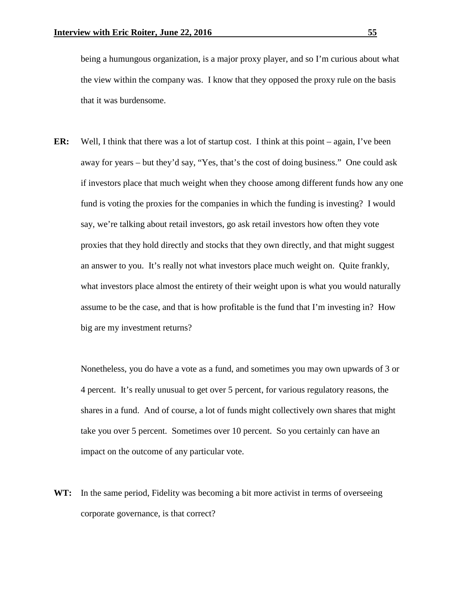being a humungous organization, is a major proxy player, and so I'm curious about what the view within the company was. I know that they opposed the proxy rule on the basis that it was burdensome.

**ER:** Well, I think that there was a lot of startup cost. I think at this point – again, I've been away for years – but they'd say, "Yes, that's the cost of doing business." One could ask if investors place that much weight when they choose among different funds how any one fund is voting the proxies for the companies in which the funding is investing? I would say, we're talking about retail investors, go ask retail investors how often they vote proxies that they hold directly and stocks that they own directly, and that might suggest an answer to you. It's really not what investors place much weight on. Quite frankly, what investors place almost the entirety of their weight upon is what you would naturally assume to be the case, and that is how profitable is the fund that I'm investing in? How big are my investment returns?

Nonetheless, you do have a vote as a fund, and sometimes you may own upwards of 3 or 4 percent. It's really unusual to get over 5 percent, for various regulatory reasons, the shares in a fund. And of course, a lot of funds might collectively own shares that might take you over 5 percent. Sometimes over 10 percent. So you certainly can have an impact on the outcome of any particular vote.

WT: In the same period, Fidelity was becoming a bit more activist in terms of overseeing corporate governance, is that correct?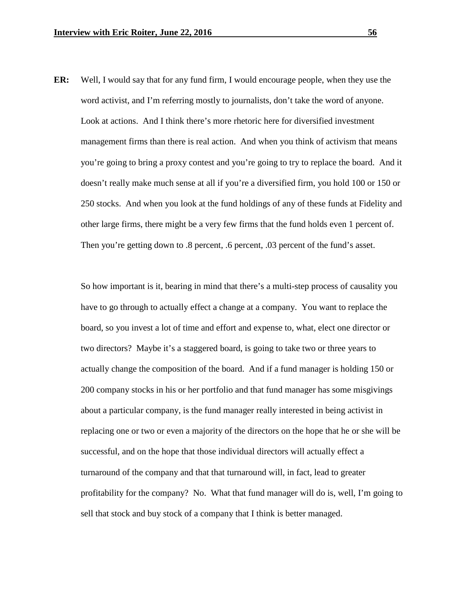**ER:** Well, I would say that for any fund firm, I would encourage people, when they use the word activist, and I'm referring mostly to journalists, don't take the word of anyone. Look at actions. And I think there's more rhetoric here for diversified investment management firms than there is real action. And when you think of activism that means you're going to bring a proxy contest and you're going to try to replace the board. And it doesn't really make much sense at all if you're a diversified firm, you hold 100 or 150 or 250 stocks. And when you look at the fund holdings of any of these funds at Fidelity and other large firms, there might be a very few firms that the fund holds even 1 percent of. Then you're getting down to .8 percent, .6 percent, .03 percent of the fund's asset.

So how important is it, bearing in mind that there's a multi-step process of causality you have to go through to actually effect a change at a company. You want to replace the board, so you invest a lot of time and effort and expense to, what, elect one director or two directors? Maybe it's a staggered board, is going to take two or three years to actually change the composition of the board. And if a fund manager is holding 150 or 200 company stocks in his or her portfolio and that fund manager has some misgivings about a particular company, is the fund manager really interested in being activist in replacing one or two or even a majority of the directors on the hope that he or she will be successful, and on the hope that those individual directors will actually effect a turnaround of the company and that that turnaround will, in fact, lead to greater profitability for the company? No. What that fund manager will do is, well, I'm going to sell that stock and buy stock of a company that I think is better managed.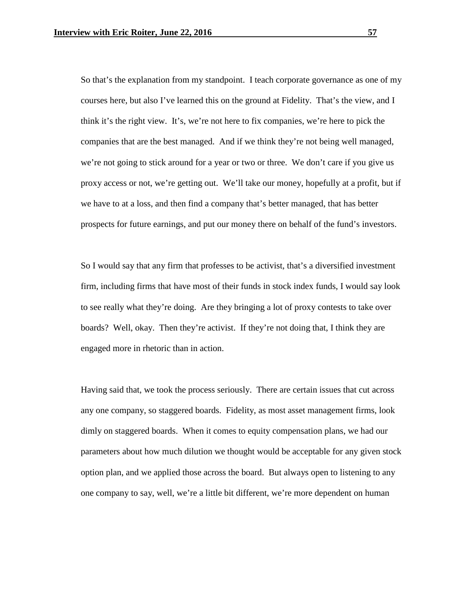So that's the explanation from my standpoint. I teach corporate governance as one of my courses here, but also I've learned this on the ground at Fidelity. That's the view, and I think it's the right view. It's, we're not here to fix companies, we're here to pick the companies that are the best managed. And if we think they're not being well managed, we're not going to stick around for a year or two or three. We don't care if you give us proxy access or not, we're getting out. We'll take our money, hopefully at a profit, but if we have to at a loss, and then find a company that's better managed, that has better prospects for future earnings, and put our money there on behalf of the fund's investors.

So I would say that any firm that professes to be activist, that's a diversified investment firm, including firms that have most of their funds in stock index funds, I would say look to see really what they're doing. Are they bringing a lot of proxy contests to take over boards? Well, okay. Then they're activist. If they're not doing that, I think they are engaged more in rhetoric than in action.

Having said that, we took the process seriously. There are certain issues that cut across any one company, so staggered boards. Fidelity, as most asset management firms, look dimly on staggered boards. When it comes to equity compensation plans, we had our parameters about how much dilution we thought would be acceptable for any given stock option plan, and we applied those across the board. But always open to listening to any one company to say, well, we're a little bit different, we're more dependent on human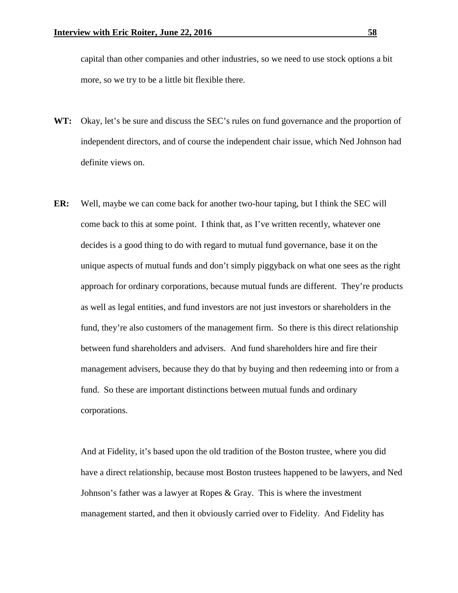capital than other companies and other industries, so we need to use stock options a bit more, so we try to be a little bit flexible there.

- WT: Okay, let's be sure and discuss the SEC's rules on fund governance and the proportion of independent directors, and of course the independent chair issue, which Ned Johnson had definite views on.
- **ER:** Well, maybe we can come back for another two-hour taping, but I think the SEC will come back to this at some point. I think that, as I've written recently, whatever one decides is a good thing to do with regard to mutual fund governance, base it on the unique aspects of mutual funds and don't simply piggyback on what one sees as the right approach for ordinary corporations, because mutual funds are different. They're products as well as legal entities, and fund investors are not just investors or shareholders in the fund, they're also customers of the management firm. So there is this direct relationship between fund shareholders and advisers. And fund shareholders hire and fire their management advisers, because they do that by buying and then redeeming into or from a fund. So these are important distinctions between mutual funds and ordinary corporations.

And at Fidelity, it's based upon the old tradition of the Boston trustee, where you did have a direct relationship, because most Boston trustees happened to be lawyers, and Ned Johnson's father was a lawyer at Ropes  $\&$  Gray. This is where the investment management started, and then it obviously carried over to Fidelity. And Fidelity has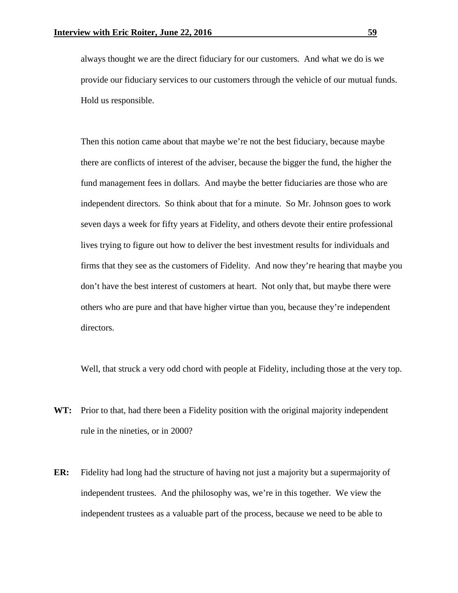always thought we are the direct fiduciary for our customers. And what we do is we provide our fiduciary services to our customers through the vehicle of our mutual funds. Hold us responsible.

Then this notion came about that maybe we're not the best fiduciary, because maybe there are conflicts of interest of the adviser, because the bigger the fund, the higher the fund management fees in dollars. And maybe the better fiduciaries are those who are independent directors. So think about that for a minute. So Mr. Johnson goes to work seven days a week for fifty years at Fidelity, and others devote their entire professional lives trying to figure out how to deliver the best investment results for individuals and firms that they see as the customers of Fidelity. And now they're hearing that maybe you don't have the best interest of customers at heart. Not only that, but maybe there were others who are pure and that have higher virtue than you, because they're independent directors.

Well, that struck a very odd chord with people at Fidelity, including those at the very top.

- **WT:** Prior to that, had there been a Fidelity position with the original majority independent rule in the nineties, or in 2000?
- **ER:** Fidelity had long had the structure of having not just a majority but a supermajority of independent trustees. And the philosophy was, we're in this together. We view the independent trustees as a valuable part of the process, because we need to be able to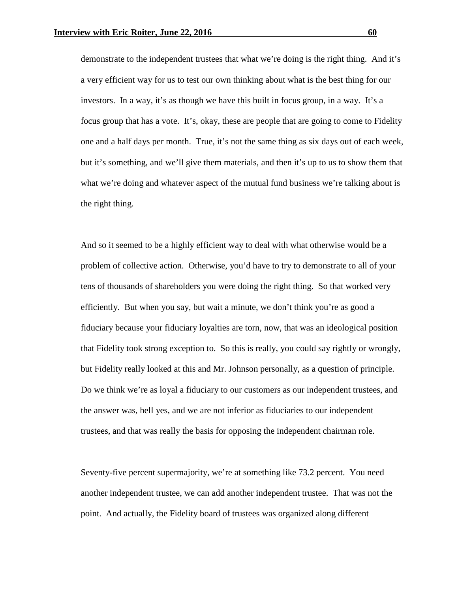demonstrate to the independent trustees that what we're doing is the right thing. And it's a very efficient way for us to test our own thinking about what is the best thing for our investors. In a way, it's as though we have this built in focus group, in a way. It's a focus group that has a vote. It's, okay, these are people that are going to come to Fidelity one and a half days per month. True, it's not the same thing as six days out of each week, but it's something, and we'll give them materials, and then it's up to us to show them that what we're doing and whatever aspect of the mutual fund business we're talking about is the right thing.

And so it seemed to be a highly efficient way to deal with what otherwise would be a problem of collective action. Otherwise, you'd have to try to demonstrate to all of your tens of thousands of shareholders you were doing the right thing. So that worked very efficiently. But when you say, but wait a minute, we don't think you're as good a fiduciary because your fiduciary loyalties are torn, now, that was an ideological position that Fidelity took strong exception to. So this is really, you could say rightly or wrongly, but Fidelity really looked at this and Mr. Johnson personally, as a question of principle. Do we think we're as loyal a fiduciary to our customers as our independent trustees, and the answer was, hell yes, and we are not inferior as fiduciaries to our independent trustees, and that was really the basis for opposing the independent chairman role.

Seventy-five percent supermajority, we're at something like 73.2 percent. You need another independent trustee, we can add another independent trustee. That was not the point. And actually, the Fidelity board of trustees was organized along different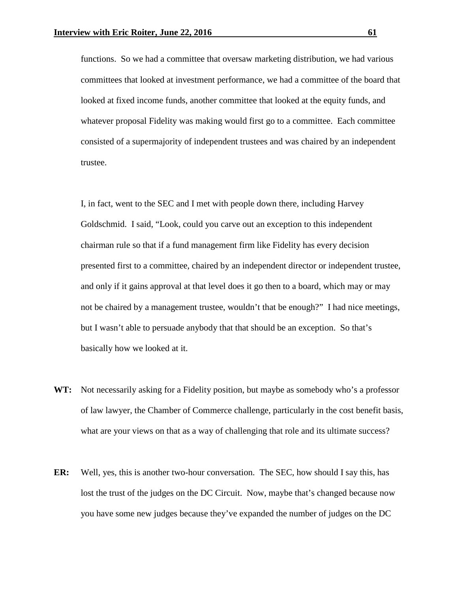functions. So we had a committee that oversaw marketing distribution, we had various committees that looked at investment performance, we had a committee of the board that looked at fixed income funds, another committee that looked at the equity funds, and whatever proposal Fidelity was making would first go to a committee. Each committee consisted of a supermajority of independent trustees and was chaired by an independent trustee.

I, in fact, went to the SEC and I met with people down there, including Harvey Goldschmid. I said, "Look, could you carve out an exception to this independent chairman rule so that if a fund management firm like Fidelity has every decision presented first to a committee, chaired by an independent director or independent trustee, and only if it gains approval at that level does it go then to a board, which may or may not be chaired by a management trustee, wouldn't that be enough?" I had nice meetings, but I wasn't able to persuade anybody that that should be an exception. So that's basically how we looked at it.

- **WT:** Not necessarily asking for a Fidelity position, but maybe as somebody who's a professor of law lawyer, the Chamber of Commerce challenge, particularly in the cost benefit basis, what are your views on that as a way of challenging that role and its ultimate success?
- **ER:** Well, yes, this is another two-hour conversation. The SEC, how should I say this, has lost the trust of the judges on the DC Circuit. Now, maybe that's changed because now you have some new judges because they've expanded the number of judges on the DC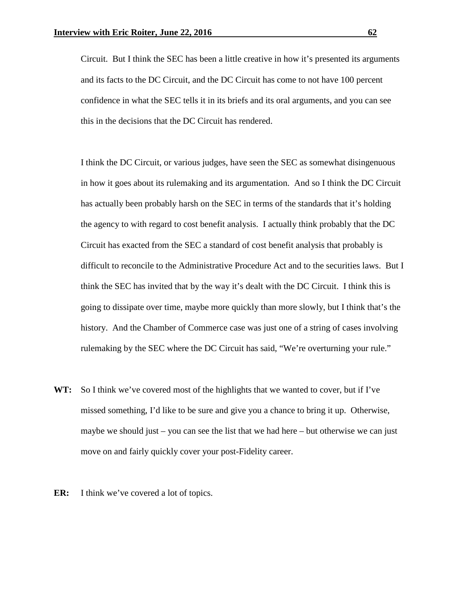Circuit. But I think the SEC has been a little creative in how it's presented its arguments and its facts to the DC Circuit, and the DC Circuit has come to not have 100 percent confidence in what the SEC tells it in its briefs and its oral arguments, and you can see this in the decisions that the DC Circuit has rendered.

I think the DC Circuit, or various judges, have seen the SEC as somewhat disingenuous in how it goes about its rulemaking and its argumentation. And so I think the DC Circuit has actually been probably harsh on the SEC in terms of the standards that it's holding the agency to with regard to cost benefit analysis. I actually think probably that the DC Circuit has exacted from the SEC a standard of cost benefit analysis that probably is difficult to reconcile to the Administrative Procedure Act and to the securities laws. But I think the SEC has invited that by the way it's dealt with the DC Circuit. I think this is going to dissipate over time, maybe more quickly than more slowly, but I think that's the history. And the Chamber of Commerce case was just one of a string of cases involving rulemaking by the SEC where the DC Circuit has said, "We're overturning your rule."

- **WT:** So I think we've covered most of the highlights that we wanted to cover, but if I've missed something, I'd like to be sure and give you a chance to bring it up. Otherwise, maybe we should just – you can see the list that we had here – but otherwise we can just move on and fairly quickly cover your post-Fidelity career.
- **ER:** I think we've covered a lot of topics.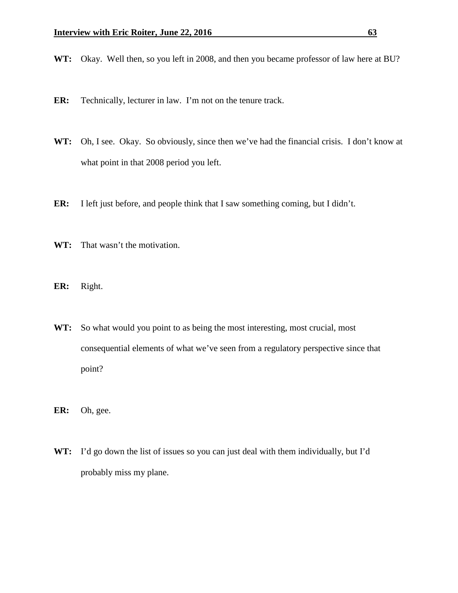**WT:** Okay. Well then, so you left in 2008, and then you became professor of law here at BU?

- **ER:** Technically, lecturer in law. I'm not on the tenure track.
- **WT:** Oh, I see. Okay. So obviously, since then we've had the financial crisis. I don't know at what point in that 2008 period you left.
- **ER:** I left just before, and people think that I saw something coming, but I didn't.
- **WT:** That wasn't the motivation.
- **ER:** Right.
- **WT:** So what would you point to as being the most interesting, most crucial, most consequential elements of what we've seen from a regulatory perspective since that point?
- **ER:** Oh, gee.
- **WT:** I'd go down the list of issues so you can just deal with them individually, but I'd probably miss my plane.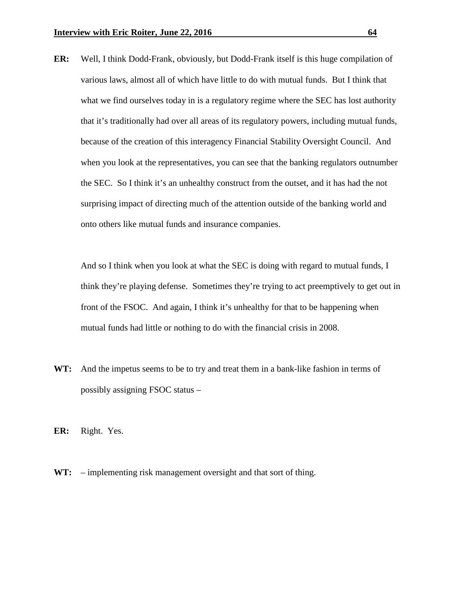**ER:** Well, I think Dodd-Frank, obviously, but Dodd-Frank itself is this huge compilation of various laws, almost all of which have little to do with mutual funds. But I think that what we find ourselves today in is a regulatory regime where the SEC has lost authority that it's traditionally had over all areas of its regulatory powers, including mutual funds, because of the creation of this interagency Financial Stability Oversight Council. And when you look at the representatives, you can see that the banking regulators outnumber the SEC. So I think it's an unhealthy construct from the outset, and it has had the not surprising impact of directing much of the attention outside of the banking world and onto others like mutual funds and insurance companies.

And so I think when you look at what the SEC is doing with regard to mutual funds, I think they're playing defense. Sometimes they're trying to act preemptively to get out in front of the FSOC. And again, I think it's unhealthy for that to be happening when mutual funds had little or nothing to do with the financial crisis in 2008.

- **WT:** And the impetus seems to be to try and treat them in a bank-like fashion in terms of possibly assigning FSOC status –
- **ER:** Right. Yes.
- **WT:** implementing risk management oversight and that sort of thing.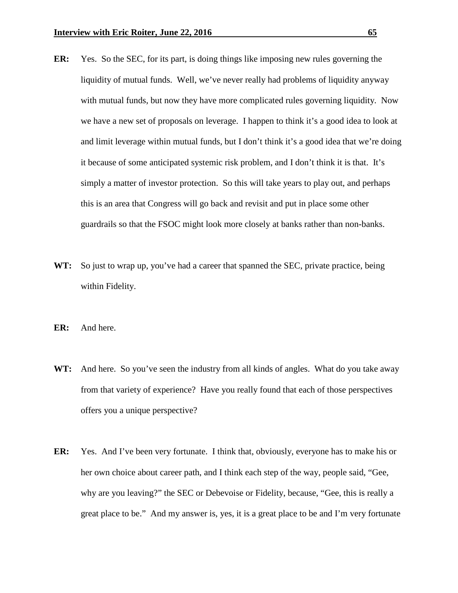- **ER:** Yes. So the SEC, for its part, is doing things like imposing new rules governing the liquidity of mutual funds. Well, we've never really had problems of liquidity anyway with mutual funds, but now they have more complicated rules governing liquidity. Now we have a new set of proposals on leverage. I happen to think it's a good idea to look at and limit leverage within mutual funds, but I don't think it's a good idea that we're doing it because of some anticipated systemic risk problem, and I don't think it is that. It's simply a matter of investor protection. So this will take years to play out, and perhaps this is an area that Congress will go back and revisit and put in place some other guardrails so that the FSOC might look more closely at banks rather than non-banks.
- **WT:** So just to wrap up, you've had a career that spanned the SEC, private practice, being within Fidelity.
- **ER:** And here.
- **WT:** And here. So you've seen the industry from all kinds of angles. What do you take away from that variety of experience? Have you really found that each of those perspectives offers you a unique perspective?
- **ER:** Yes. And I've been very fortunate. I think that, obviously, everyone has to make his or her own choice about career path, and I think each step of the way, people said, "Gee, why are you leaving?" the SEC or Debevoise or Fidelity, because, "Gee, this is really a great place to be." And my answer is, yes, it is a great place to be and I'm very fortunate